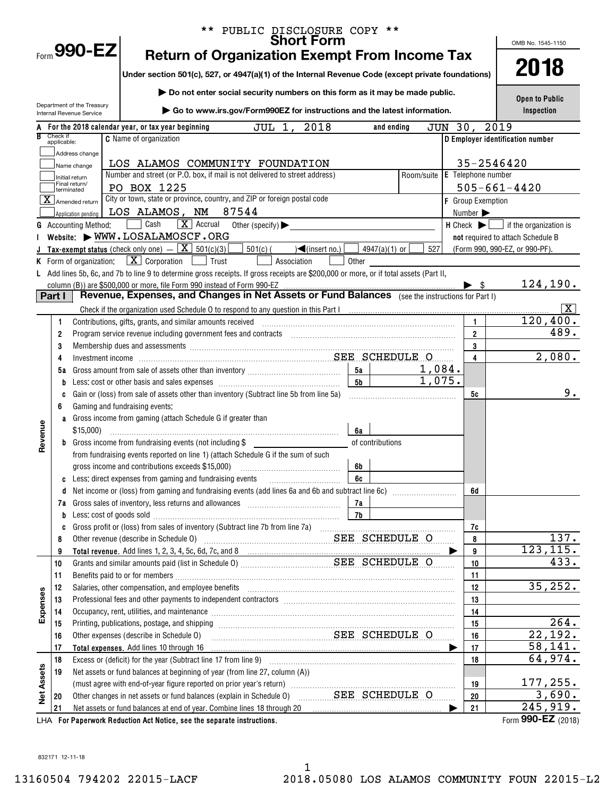|                   |             |                                               | PUBLIC DISCLOSURE COPY **                                                                                                                                                                                                      |            |                              |                                                               |
|-------------------|-------------|-----------------------------------------------|--------------------------------------------------------------------------------------------------------------------------------------------------------------------------------------------------------------------------------|------------|------------------------------|---------------------------------------------------------------|
|                   |             | $F_{\text{norm}}$ 990-EZ                      | <b>Short Form</b>                                                                                                                                                                                                              |            |                              | OMB No. 1545-1150                                             |
|                   |             |                                               | <b>Return of Organization Exempt From Income Tax</b>                                                                                                                                                                           |            |                              | 2018                                                          |
|                   |             |                                               | Under section 501(c), 527, or 4947(a)(1) of the Internal Revenue Code (except private foundations)                                                                                                                             |            |                              |                                                               |
|                   |             |                                               | Do not enter social security numbers on this form as it may be made public.                                                                                                                                                    |            |                              |                                                               |
|                   |             | Department of the Treasury                    | Go to www.irs.gov/Form990EZ for instructions and the latest information.                                                                                                                                                       |            |                              | Open to Public<br>Inspection                                  |
|                   |             | Internal Revenue Service                      |                                                                                                                                                                                                                                |            |                              |                                                               |
|                   | Check if    |                                               | JUL 1, 2018<br>For the 2018 calendar year, or tax year beginning<br>and ending                                                                                                                                                 | JUN 30,    |                              | 2019                                                          |
|                   | applicable: |                                               | <b>C</b> Name of organization                                                                                                                                                                                                  |            |                              | D Employer identification number                              |
|                   |             | Address change                                | LOS ALAMOS COMMUNITY FOUNDATION                                                                                                                                                                                                |            |                              | 35-2546420                                                    |
|                   |             | Name change                                   | Number and street (or P.O. box, if mail is not delivered to street address)                                                                                                                                                    | Room/suite | E Telephone number           |                                                               |
|                   |             | Initial return<br>Final return/<br>terminated | PO BOX 1225                                                                                                                                                                                                                    |            |                              | $505 - 661 - 4420$                                            |
|                   |             | X Amended return                              | City or town, state or province, country, and ZIP or foreign postal code                                                                                                                                                       |            | F Group Exemption            |                                                               |
|                   |             | Application pending                           | 87544<br>LOS ALAMOS, NM                                                                                                                                                                                                        |            | Number $\blacktriangleright$ |                                                               |
|                   |             | <b>G</b> Accounting Method:                   | $\boxed{\mathbf{X}}$ Accrual<br>Cash<br>Other (specify) $\blacktriangleright$                                                                                                                                                  |            |                              | $H$ Check $\blacktriangleright$ $\Box$ if the organization is |
|                   |             |                                               | Website: WWW.LOSALAMOSCF.ORG                                                                                                                                                                                                   |            |                              | not required to attach Schedule B                             |
|                   |             |                                               | <b>Tax-exempt status</b> (check only one) $ \boxed{\mathbf{X}}$ 501(c)(3)<br>$501(c)$ (<br>$\sqrt{\frac{2}{\text{S}}(n \cdot n)}$<br>4947(a)(1) or $\vert$                                                                     | 527        |                              | (Form 990, 990-EZ, or 990-PF).                                |
|                   |             | K Form of organization:                       | $\lfloor x \rfloor$ Corporation<br>Trust<br>Association<br>Other                                                                                                                                                               |            |                              |                                                               |
|                   |             |                                               | L Add lines 5b, 6c, and 7b to line 9 to determine gross receipts. If gross receipts are \$200,000 or more, or if total assets (Part II,                                                                                        |            |                              |                                                               |
|                   | Part I      |                                               | column (B)) are \$500,000 or more, file Form 990 instead of Form 990-EZ<br>Revenue, Expenses, and Changes in Net Assets or Fund Balances (see the instructions for Part I)                                                     |            | - \$                         | 124, 190.                                                     |
|                   |             |                                               |                                                                                                                                                                                                                                |            |                              | X                                                             |
|                   | 1           |                                               | Contributions, gifts, grants, and similar amounts received                                                                                                                                                                     |            | 1                            | 120,400.                                                      |
|                   | 2           |                                               | Program service revenue including government fees and contracts [11] matter contracts and contracts and contracts and contracts and contracts and contracts and contracts and contracts and contracts and contracts and contra |            | $\overline{\mathbf{2}}$      | 489.                                                          |
|                   | 3           |                                               | Membership dues and assessments [111] Membership and assessments [11] Membership and assessments [11] Membership and assessments [11] Membership and assessments [11] Membership and and all the set of the set of the set of  |            | 3                            |                                                               |
|                   | 4           |                                               |                                                                                                                                                                                                                                |            | 4                            | 2,080.                                                        |
|                   | 5a          |                                               | 5a                                                                                                                                                                                                                             | 1,084.     |                              |                                                               |
|                   | b           |                                               | 5 <sub>b</sub>                                                                                                                                                                                                                 | 1,075.     |                              |                                                               |
|                   | c           |                                               | Gain or (loss) from sale of assets other than inventory (Subtract line 5b from line 5a)                                                                                                                                        |            | 5c                           | 9.                                                            |
|                   | 6           |                                               | Gaming and fundraising events:                                                                                                                                                                                                 |            |                              |                                                               |
|                   |             |                                               | a Gross income from gaming (attach Schedule G if greater than                                                                                                                                                                  |            |                              |                                                               |
| Revenue           |             | $$15,000$ )                                   | 6а                                                                                                                                                                                                                             |            |                              |                                                               |
|                   |             |                                               | <b>b</b> Gross income from fundraising events (not including $\$<br>of contributions                                                                                                                                           |            |                              |                                                               |
|                   |             |                                               | from fundraising events reported on line 1) (attach Schedule G if the sum of such                                                                                                                                              |            |                              |                                                               |
|                   |             |                                               | gross income and contributions exceeds \$15,000)<br>6b                                                                                                                                                                         |            |                              |                                                               |
|                   | d           |                                               |                                                                                                                                                                                                                                |            | 6d                           |                                                               |
|                   |             |                                               | 7a                                                                                                                                                                                                                             |            |                              |                                                               |
|                   | b           |                                               | 7b<br>Less: cost of goods sold with an annumerator and contact the cost of goods sold                                                                                                                                          |            |                              |                                                               |
|                   | c           |                                               |                                                                                                                                                                                                                                |            | 7c                           |                                                               |
|                   | 8           |                                               | Other revenue (describe in Schedule 0) [11] Decrement Route of the SCHEDULE O                                                                                                                                                  |            | 8                            | 137.                                                          |
|                   | 9           |                                               |                                                                                                                                                                                                                                |            | 9                            | 123, 115.                                                     |
|                   | 10          |                                               |                                                                                                                                                                                                                                |            | 10                           | 433.                                                          |
|                   | 11          |                                               |                                                                                                                                                                                                                                |            | 11                           |                                                               |
|                   | 12          |                                               | Salaries, other compensation, and employee benefits [11] matter content to the compensation, and employee benefits [11] matter communities, other compensation, and employee benefits [11] matter communities, $\alpha$        |            | 12                           | 35, 252.                                                      |
|                   | 13          |                                               | Occupancy, rent, utilities, and maintenance material content and an according term of the material content and                                                                                                                 |            | 13                           |                                                               |
| Expenses          | 14          |                                               | 14                                                                                                                                                                                                                             | 264.       |                              |                                                               |
|                   | 15<br>16    |                                               | Printing, publications, postage, and shipping manufactured and contained and state and state and state and str<br>SEE SCHEDULE O<br>Other expenses (describe in Schedule O)                                                    |            | 15<br>16                     | 22,192.                                                       |
|                   | 17          |                                               | Total expenses. Add lines 10 through 16                                                                                                                                                                                        | ▶          | 17                           | 58, 141.                                                      |
|                   | 18          |                                               |                                                                                                                                                                                                                                |            | 18                           | 64,974.                                                       |
|                   | 19          |                                               | Net assets or fund balances at beginning of year (from line 27, column (A))                                                                                                                                                    |            |                              |                                                               |
| <b>Net Assets</b> |             |                                               |                                                                                                                                                                                                                                |            | 19                           | 177, 255.                                                     |
|                   | 20          |                                               | Other changes in net assets or fund balances (explain in Schedule 0) ______________SEE__SCHEDULE_O                                                                                                                             |            | 20                           | 3,690.                                                        |
|                   | 21          |                                               |                                                                                                                                                                                                                                |            | 21                           | 245,919.                                                      |
|                   |             |                                               | LHA For Paperwork Reduction Act Notice, see the separate instructions.                                                                                                                                                         |            |                              | Form 990-EZ (2018)                                            |

832171 12-11-18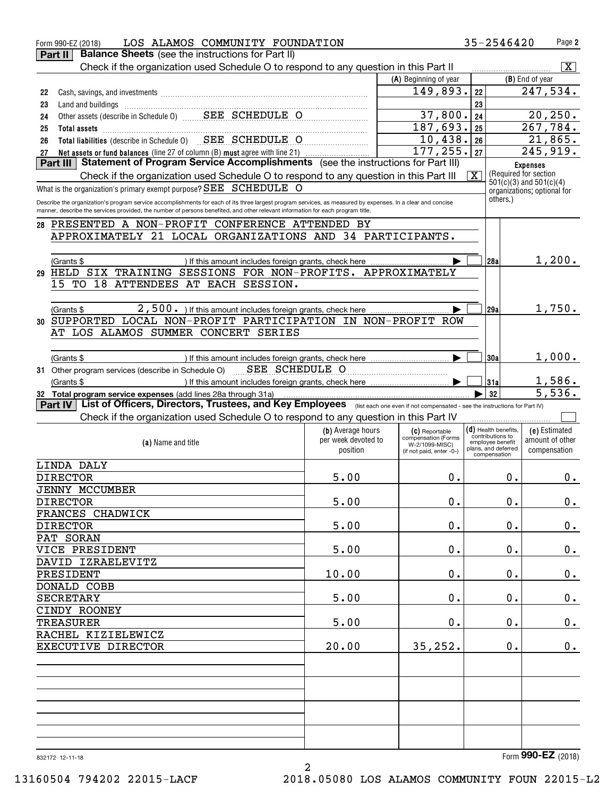| LOS ALAMOS COMMUNITY FOUNDATION<br>Form 990-EZ (2018)                                                                                                                                                                                                                                          |                     |                                       | 35-2546420                                 | Page 2                      |
|------------------------------------------------------------------------------------------------------------------------------------------------------------------------------------------------------------------------------------------------------------------------------------------------|---------------------|---------------------------------------|--------------------------------------------|-----------------------------|
| <b>Balance Sheets</b> (see the instructions for Part II)<br>Part II                                                                                                                                                                                                                            |                     |                                       |                                            |                             |
| Check if the organization used Schedule O to respond to any question in this Part II                                                                                                                                                                                                           |                     |                                       |                                            | $\boxed{\text{X}}$          |
|                                                                                                                                                                                                                                                                                                |                     | (A) Beginning of year                 |                                            | (B) End of year             |
| 22                                                                                                                                                                                                                                                                                             |                     | 149,893.                              | 22                                         | 247,534.                    |
| 23                                                                                                                                                                                                                                                                                             |                     |                                       | 23                                         |                             |
| Land and buildings<br>Other assets (describe in Schedule 0)<br>CHEDULE O<br>24                                                                                                                                                                                                                 |                     | 37,800.                               | 24                                         | 20, 250.                    |
| 25                                                                                                                                                                                                                                                                                             |                     | 187,693.                              | 25                                         | 267,784.                    |
| Total assets<br>Total liabilities (describe in Schedule 0)<br>SEE SCHEDULE O<br>26                                                                                                                                                                                                             |                     | 10,438. 26                            |                                            | 21,865.                     |
|                                                                                                                                                                                                                                                                                                |                     | 177, 255.  27                         |                                            | 245,919.                    |
|                                                                                                                                                                                                                                                                                                |                     |                                       |                                            | <b>Expenses</b>             |
| Check if the organization used Schedule O to respond to any question in this Part III                                                                                                                                                                                                          |                     |                                       | $\overline{\mathbf{X}}$                    | (Required for section)      |
| What is the organization's primary exempt purpose? SEE SCHEDULE O                                                                                                                                                                                                                              |                     |                                       |                                            | $501(c)(3)$ and $501(c)(4)$ |
|                                                                                                                                                                                                                                                                                                |                     |                                       | others.)                                   | organizations; optional for |
| Describe the organization's program service accomplishments for each of its three largest program services, as measured by expenses. In a clear and concise<br>manner, describe the services provided, the number of persons benefited, and other relevant information for each program title. |                     |                                       |                                            |                             |
| PRESENTED A NON-PROFIT CONFERENCE ATTENDED BY<br>28                                                                                                                                                                                                                                            |                     |                                       |                                            |                             |
| APPROXIMATELY 21 LOCAL ORGANIZATIONS AND 34 PARTICIPANTS.                                                                                                                                                                                                                                      |                     |                                       |                                            |                             |
|                                                                                                                                                                                                                                                                                                |                     |                                       |                                            |                             |
|                                                                                                                                                                                                                                                                                                |                     |                                       |                                            | 1,200.                      |
| (Grants \$<br>) If this amount includes foreign grants, check here<br>HELD SIX TRAINING SESSIONS FOR NON-PROFITS. APPROXIMATELY                                                                                                                                                                |                     |                                       | 28a                                        |                             |
| 29<br>15 TO 18 ATTENDEES AT EACH SESSION.                                                                                                                                                                                                                                                      |                     |                                       |                                            |                             |
|                                                                                                                                                                                                                                                                                                |                     |                                       |                                            |                             |
|                                                                                                                                                                                                                                                                                                |                     |                                       |                                            |                             |
| 2,500. If this amount includes foreign grants, check here<br>(Grants \$                                                                                                                                                                                                                        |                     |                                       | 29al                                       | 1,750.                      |
| SUPPORTED LOCAL NON-PROFIT PARTICIPATION IN NON-PROFIT ROW<br>30                                                                                                                                                                                                                               |                     |                                       |                                            |                             |
| AT LOS ALAMOS SUMMER CONCERT SERIES                                                                                                                                                                                                                                                            |                     |                                       |                                            |                             |
|                                                                                                                                                                                                                                                                                                |                     |                                       |                                            |                             |
| (Grants \$                                                                                                                                                                                                                                                                                     |                     |                                       | 30a                                        | 1,000.                      |
| 31 Other program services (describe in Schedule O) _____SEE SCHEDULE O                                                                                                                                                                                                                         |                     |                                       |                                            |                             |
| (Grants \$                                                                                                                                                                                                                                                                                     |                     |                                       | 31a                                        | 1,586.                      |
| 32 Total program service expenses (add lines 28a through 31a)                                                                                                                                                                                                                                  |                     |                                       | 32                                         | 5,536.                      |
| Part IV   List of Officers, Directors, Trustees, and Key Employees (Iist each one even if not compensated - see the instructions for Part IV)                                                                                                                                                  |                     |                                       |                                            |                             |
| Check if the organization used Schedule O to respond to any question in this Part IV                                                                                                                                                                                                           |                     |                                       |                                            |                             |
|                                                                                                                                                                                                                                                                                                | (b) Average hours   | (C) Reportable                        | $(d)$ Health benefits,<br>contributions to | (e) Estimated               |
| (a) Name and title                                                                                                                                                                                                                                                                             | per week devoted to | compensation (Forms<br>W-2/1099-MISC) | employee benefit<br>plans, and deferred    | amount of other             |
|                                                                                                                                                                                                                                                                                                | position            | (if not paid, enter -0-)              | compensation                               | compensation                |
| LINDA DALY                                                                                                                                                                                                                                                                                     |                     |                                       |                                            |                             |
| <b>DIRECTOR</b>                                                                                                                                                                                                                                                                                | 5.00                | $0$ .                                 | 0.                                         | 0.                          |
| <b>JENNY MCCUMBER</b>                                                                                                                                                                                                                                                                          |                     |                                       |                                            |                             |
| <b>DIRECTOR</b>                                                                                                                                                                                                                                                                                | 5.00                | 0.                                    | 0.                                         | 0.                          |
| FRANCES CHADWICK                                                                                                                                                                                                                                                                               |                     |                                       |                                            |                             |
| <b>DIRECTOR</b>                                                                                                                                                                                                                                                                                | 5.00                | 0.                                    | 0.                                         | $\mathbf 0$ .               |
| PAT SORAN                                                                                                                                                                                                                                                                                      |                     |                                       |                                            |                             |
| VICE PRESIDENT                                                                                                                                                                                                                                                                                 | 5.00                | 0.                                    | 0.                                         | $\mathbf 0$ .               |
| DAVID IZRAELEVITZ                                                                                                                                                                                                                                                                              |                     |                                       |                                            |                             |
| PRESIDENT                                                                                                                                                                                                                                                                                      | 10.00               | 0.                                    | 0.                                         | $\mathbf 0$ .               |
| DONALD COBB                                                                                                                                                                                                                                                                                    |                     |                                       |                                            |                             |
| <b>SECRETARY</b>                                                                                                                                                                                                                                                                               | 5.00                | 0.                                    | 0.                                         | $\mathbf 0$ .               |
| CINDY ROONEY                                                                                                                                                                                                                                                                                   |                     |                                       |                                            |                             |
| <b>TREASURER</b>                                                                                                                                                                                                                                                                               | 5.00                | 0.                                    | 0.                                         | $\mathbf 0$ .               |
| RACHEL KIZIELEWICZ                                                                                                                                                                                                                                                                             |                     |                                       |                                            |                             |
| EXECUTIVE DIRECTOR                                                                                                                                                                                                                                                                             | 20.00               | 35, 252.                              | 0.                                         | $\mathbf 0$ .               |
|                                                                                                                                                                                                                                                                                                |                     |                                       |                                            |                             |
|                                                                                                                                                                                                                                                                                                |                     |                                       |                                            |                             |
|                                                                                                                                                                                                                                                                                                |                     |                                       |                                            |                             |
|                                                                                                                                                                                                                                                                                                |                     |                                       |                                            |                             |
|                                                                                                                                                                                                                                                                                                |                     |                                       |                                            |                             |
|                                                                                                                                                                                                                                                                                                |                     |                                       |                                            |                             |
|                                                                                                                                                                                                                                                                                                |                     |                                       |                                            |                             |
|                                                                                                                                                                                                                                                                                                |                     |                                       |                                            |                             |
|                                                                                                                                                                                                                                                                                                |                     |                                       |                                            |                             |
|                                                                                                                                                                                                                                                                                                |                     |                                       |                                            | Form 990-EZ (2018)          |

2

13160504 794202 22015-LACF 2018.05080 LOS ALAMOS COMMUNITY FOUN 22015-L2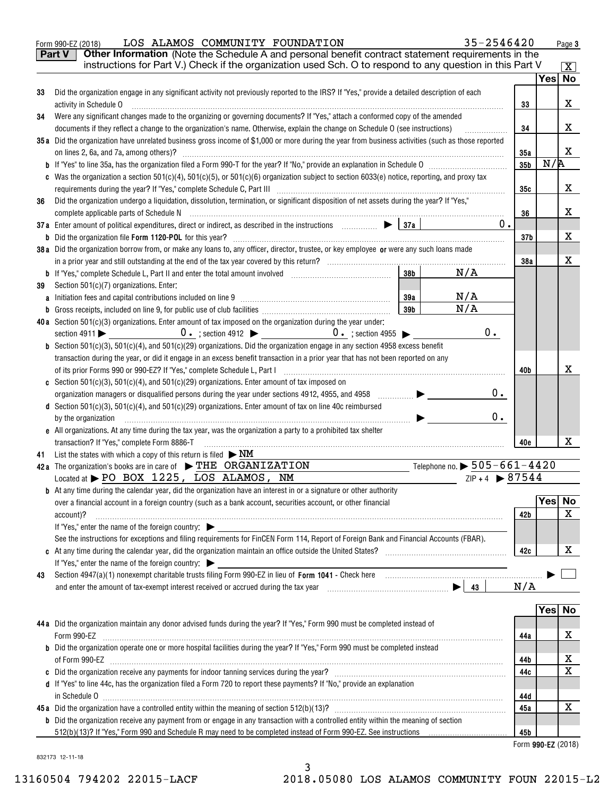| $\overline{\mathbf{X}}$<br>Yes No<br>x<br>33<br>х<br>34<br>.<br>X<br>35a<br>N/R<br>35 <sub>b</sub><br>х<br>35c<br>х<br>36<br>$0$ .<br>x<br>37 <sub>b</sub><br>X<br>38a<br>N/A<br>38 <sub>b</sub><br>N/A<br>39a<br>N/A<br>39 <sub>b</sub><br>0.<br>х<br>40b<br>0.<br>d Section 501(c)(3), 501(c)(4), and 501(c)(29) organizations. Enter amount of tax on line 40c reimbursed<br>0.<br>$\begin{picture}(150,10) \put(0,0){\vector(1,0){100}} \put(10,0){\vector(1,0){100}} \put(10,0){\vector(1,0){100}} \put(10,0){\vector(1,0){100}} \put(10,0){\vector(1,0){100}} \put(10,0){\vector(1,0){100}} \put(10,0){\vector(1,0){100}} \put(10,0){\vector(1,0){100}} \put(10,0){\vector(1,0){100}} \put(10,0){\vector(1,0){100}} \put(10,0){\vector(1,0){100}}$<br>e All organizations. At any time during the tax year, was the organization a party to a prohibited tax shelter<br>x<br>40e<br>List the states with which a copy of this return is filed $\triangleright$ NM<br>Telephone no. $\triangleright$ 505–661–4420<br>$ZIP + 4$ $\triangleright$ 87544<br>Yes No<br>X<br>42 b<br>х<br>42c<br>N/A<br>Yes No<br>x<br>44a<br>х<br>44b<br>Х<br>44c | Part V<br>33<br>34<br>36 | Other Information (Note the Schedule A and personal benefit contract statement requirements in the<br>instructions for Part V.) Check if the organization used Sch. O to respond to any question in this Part V<br>Did the organization engage in any significant activity not previously reported to the IRS? If "Yes," provide a detailed description of each<br>activity in Schedule O<br>Were any significant changes made to the organizing or governing documents? If "Yes," attach a conformed copy of the amended<br>documents if they reflect a change to the organization's name. Otherwise, explain the change on Schedule O (see instructions)<br>35a Did the organization have unrelated business gross income of \$1,000 or more during the year from business activities (such as those reported<br>on lines 2, 6a, and 7a, among others)?<br>c Was the organization a section $501(c)(4)$ , $501(c)(5)$ , or $501(c)(6)$ organization subject to section $6033(e)$ notice, reporting, and proxy tax<br>Did the organization undergo a liquidation, dissolution, termination, or significant disposition of net assets during the year? If "Yes,"<br>37a Enter amount of political expenditures, direct or indirect, as described in the instructions $\Box$<br>38a Did the organization borrow from, or make any loans to, any officer, director, trustee, or key employee or were any such loans made |     |                    |
|----------------------------------------------------------------------------------------------------------------------------------------------------------------------------------------------------------------------------------------------------------------------------------------------------------------------------------------------------------------------------------------------------------------------------------------------------------------------------------------------------------------------------------------------------------------------------------------------------------------------------------------------------------------------------------------------------------------------------------------------------------------------------------------------------------------------------------------------------------------------------------------------------------------------------------------------------------------------------------------------------------------------------------------------------------------------------------------------------------------------------------------------------|--------------------------|------------------------------------------------------------------------------------------------------------------------------------------------------------------------------------------------------------------------------------------------------------------------------------------------------------------------------------------------------------------------------------------------------------------------------------------------------------------------------------------------------------------------------------------------------------------------------------------------------------------------------------------------------------------------------------------------------------------------------------------------------------------------------------------------------------------------------------------------------------------------------------------------------------------------------------------------------------------------------------------------------------------------------------------------------------------------------------------------------------------------------------------------------------------------------------------------------------------------------------------------------------------------------------------------------------------------------------------------------------------------------------------------------------------------|-----|--------------------|
|                                                                                                                                                                                                                                                                                                                                                                                                                                                                                                                                                                                                                                                                                                                                                                                                                                                                                                                                                                                                                                                                                                                                                    |                          |                                                                                                                                                                                                                                                                                                                                                                                                                                                                                                                                                                                                                                                                                                                                                                                                                                                                                                                                                                                                                                                                                                                                                                                                                                                                                                                                                                                                                        |     |                    |
|                                                                                                                                                                                                                                                                                                                                                                                                                                                                                                                                                                                                                                                                                                                                                                                                                                                                                                                                                                                                                                                                                                                                                    |                          |                                                                                                                                                                                                                                                                                                                                                                                                                                                                                                                                                                                                                                                                                                                                                                                                                                                                                                                                                                                                                                                                                                                                                                                                                                                                                                                                                                                                                        |     |                    |
|                                                                                                                                                                                                                                                                                                                                                                                                                                                                                                                                                                                                                                                                                                                                                                                                                                                                                                                                                                                                                                                                                                                                                    |                          |                                                                                                                                                                                                                                                                                                                                                                                                                                                                                                                                                                                                                                                                                                                                                                                                                                                                                                                                                                                                                                                                                                                                                                                                                                                                                                                                                                                                                        |     |                    |
|                                                                                                                                                                                                                                                                                                                                                                                                                                                                                                                                                                                                                                                                                                                                                                                                                                                                                                                                                                                                                                                                                                                                                    |                          |                                                                                                                                                                                                                                                                                                                                                                                                                                                                                                                                                                                                                                                                                                                                                                                                                                                                                                                                                                                                                                                                                                                                                                                                                                                                                                                                                                                                                        |     |                    |
|                                                                                                                                                                                                                                                                                                                                                                                                                                                                                                                                                                                                                                                                                                                                                                                                                                                                                                                                                                                                                                                                                                                                                    |                          |                                                                                                                                                                                                                                                                                                                                                                                                                                                                                                                                                                                                                                                                                                                                                                                                                                                                                                                                                                                                                                                                                                                                                                                                                                                                                                                                                                                                                        |     |                    |
|                                                                                                                                                                                                                                                                                                                                                                                                                                                                                                                                                                                                                                                                                                                                                                                                                                                                                                                                                                                                                                                                                                                                                    |                          |                                                                                                                                                                                                                                                                                                                                                                                                                                                                                                                                                                                                                                                                                                                                                                                                                                                                                                                                                                                                                                                                                                                                                                                                                                                                                                                                                                                                                        |     |                    |
|                                                                                                                                                                                                                                                                                                                                                                                                                                                                                                                                                                                                                                                                                                                                                                                                                                                                                                                                                                                                                                                                                                                                                    |                          |                                                                                                                                                                                                                                                                                                                                                                                                                                                                                                                                                                                                                                                                                                                                                                                                                                                                                                                                                                                                                                                                                                                                                                                                                                                                                                                                                                                                                        |     |                    |
|                                                                                                                                                                                                                                                                                                                                                                                                                                                                                                                                                                                                                                                                                                                                                                                                                                                                                                                                                                                                                                                                                                                                                    |                          |                                                                                                                                                                                                                                                                                                                                                                                                                                                                                                                                                                                                                                                                                                                                                                                                                                                                                                                                                                                                                                                                                                                                                                                                                                                                                                                                                                                                                        |     |                    |
|                                                                                                                                                                                                                                                                                                                                                                                                                                                                                                                                                                                                                                                                                                                                                                                                                                                                                                                                                                                                                                                                                                                                                    |                          |                                                                                                                                                                                                                                                                                                                                                                                                                                                                                                                                                                                                                                                                                                                                                                                                                                                                                                                                                                                                                                                                                                                                                                                                                                                                                                                                                                                                                        |     |                    |
|                                                                                                                                                                                                                                                                                                                                                                                                                                                                                                                                                                                                                                                                                                                                                                                                                                                                                                                                                                                                                                                                                                                                                    |                          |                                                                                                                                                                                                                                                                                                                                                                                                                                                                                                                                                                                                                                                                                                                                                                                                                                                                                                                                                                                                                                                                                                                                                                                                                                                                                                                                                                                                                        |     |                    |
|                                                                                                                                                                                                                                                                                                                                                                                                                                                                                                                                                                                                                                                                                                                                                                                                                                                                                                                                                                                                                                                                                                                                                    |                          |                                                                                                                                                                                                                                                                                                                                                                                                                                                                                                                                                                                                                                                                                                                                                                                                                                                                                                                                                                                                                                                                                                                                                                                                                                                                                                                                                                                                                        |     |                    |
|                                                                                                                                                                                                                                                                                                                                                                                                                                                                                                                                                                                                                                                                                                                                                                                                                                                                                                                                                                                                                                                                                                                                                    |                          |                                                                                                                                                                                                                                                                                                                                                                                                                                                                                                                                                                                                                                                                                                                                                                                                                                                                                                                                                                                                                                                                                                                                                                                                                                                                                                                                                                                                                        |     |                    |
|                                                                                                                                                                                                                                                                                                                                                                                                                                                                                                                                                                                                                                                                                                                                                                                                                                                                                                                                                                                                                                                                                                                                                    |                          |                                                                                                                                                                                                                                                                                                                                                                                                                                                                                                                                                                                                                                                                                                                                                                                                                                                                                                                                                                                                                                                                                                                                                                                                                                                                                                                                                                                                                        |     |                    |
|                                                                                                                                                                                                                                                                                                                                                                                                                                                                                                                                                                                                                                                                                                                                                                                                                                                                                                                                                                                                                                                                                                                                                    |                          |                                                                                                                                                                                                                                                                                                                                                                                                                                                                                                                                                                                                                                                                                                                                                                                                                                                                                                                                                                                                                                                                                                                                                                                                                                                                                                                                                                                                                        |     |                    |
|                                                                                                                                                                                                                                                                                                                                                                                                                                                                                                                                                                                                                                                                                                                                                                                                                                                                                                                                                                                                                                                                                                                                                    |                          |                                                                                                                                                                                                                                                                                                                                                                                                                                                                                                                                                                                                                                                                                                                                                                                                                                                                                                                                                                                                                                                                                                                                                                                                                                                                                                                                                                                                                        |     |                    |
|                                                                                                                                                                                                                                                                                                                                                                                                                                                                                                                                                                                                                                                                                                                                                                                                                                                                                                                                                                                                                                                                                                                                                    |                          |                                                                                                                                                                                                                                                                                                                                                                                                                                                                                                                                                                                                                                                                                                                                                                                                                                                                                                                                                                                                                                                                                                                                                                                                                                                                                                                                                                                                                        |     |                    |
|                                                                                                                                                                                                                                                                                                                                                                                                                                                                                                                                                                                                                                                                                                                                                                                                                                                                                                                                                                                                                                                                                                                                                    |                          |                                                                                                                                                                                                                                                                                                                                                                                                                                                                                                                                                                                                                                                                                                                                                                                                                                                                                                                                                                                                                                                                                                                                                                                                                                                                                                                                                                                                                        |     |                    |
|                                                                                                                                                                                                                                                                                                                                                                                                                                                                                                                                                                                                                                                                                                                                                                                                                                                                                                                                                                                                                                                                                                                                                    |                          |                                                                                                                                                                                                                                                                                                                                                                                                                                                                                                                                                                                                                                                                                                                                                                                                                                                                                                                                                                                                                                                                                                                                                                                                                                                                                                                                                                                                                        |     |                    |
|                                                                                                                                                                                                                                                                                                                                                                                                                                                                                                                                                                                                                                                                                                                                                                                                                                                                                                                                                                                                                                                                                                                                                    | 39                       | Section 501(c)(7) organizations. Enter:                                                                                                                                                                                                                                                                                                                                                                                                                                                                                                                                                                                                                                                                                                                                                                                                                                                                                                                                                                                                                                                                                                                                                                                                                                                                                                                                                                                |     |                    |
|                                                                                                                                                                                                                                                                                                                                                                                                                                                                                                                                                                                                                                                                                                                                                                                                                                                                                                                                                                                                                                                                                                                                                    |                          |                                                                                                                                                                                                                                                                                                                                                                                                                                                                                                                                                                                                                                                                                                                                                                                                                                                                                                                                                                                                                                                                                                                                                                                                                                                                                                                                                                                                                        |     |                    |
|                                                                                                                                                                                                                                                                                                                                                                                                                                                                                                                                                                                                                                                                                                                                                                                                                                                                                                                                                                                                                                                                                                                                                    |                          | <b>b</b> Gross receipts, included on line 9, for public use of club facilities with contain and contain an example of                                                                                                                                                                                                                                                                                                                                                                                                                                                                                                                                                                                                                                                                                                                                                                                                                                                                                                                                                                                                                                                                                                                                                                                                                                                                                                  |     |                    |
|                                                                                                                                                                                                                                                                                                                                                                                                                                                                                                                                                                                                                                                                                                                                                                                                                                                                                                                                                                                                                                                                                                                                                    |                          | 40a Section 501(c)(3) organizations. Enter amount of tax imposed on the organization during the year under:                                                                                                                                                                                                                                                                                                                                                                                                                                                                                                                                                                                                                                                                                                                                                                                                                                                                                                                                                                                                                                                                                                                                                                                                                                                                                                            |     |                    |
|                                                                                                                                                                                                                                                                                                                                                                                                                                                                                                                                                                                                                                                                                                                                                                                                                                                                                                                                                                                                                                                                                                                                                    |                          |                                                                                                                                                                                                                                                                                                                                                                                                                                                                                                                                                                                                                                                                                                                                                                                                                                                                                                                                                                                                                                                                                                                                                                                                                                                                                                                                                                                                                        |     |                    |
|                                                                                                                                                                                                                                                                                                                                                                                                                                                                                                                                                                                                                                                                                                                                                                                                                                                                                                                                                                                                                                                                                                                                                    |                          | <b>b</b> Section 501(c)(3), 501(c)(4), and 501(c)(29) organizations. Did the organization engage in any section 4958 excess benefit                                                                                                                                                                                                                                                                                                                                                                                                                                                                                                                                                                                                                                                                                                                                                                                                                                                                                                                                                                                                                                                                                                                                                                                                                                                                                    |     |                    |
|                                                                                                                                                                                                                                                                                                                                                                                                                                                                                                                                                                                                                                                                                                                                                                                                                                                                                                                                                                                                                                                                                                                                                    |                          | transaction during the year, or did it engage in an excess benefit transaction in a prior year that has not been reported on any                                                                                                                                                                                                                                                                                                                                                                                                                                                                                                                                                                                                                                                                                                                                                                                                                                                                                                                                                                                                                                                                                                                                                                                                                                                                                       |     |                    |
|                                                                                                                                                                                                                                                                                                                                                                                                                                                                                                                                                                                                                                                                                                                                                                                                                                                                                                                                                                                                                                                                                                                                                    |                          |                                                                                                                                                                                                                                                                                                                                                                                                                                                                                                                                                                                                                                                                                                                                                                                                                                                                                                                                                                                                                                                                                                                                                                                                                                                                                                                                                                                                                        |     |                    |
|                                                                                                                                                                                                                                                                                                                                                                                                                                                                                                                                                                                                                                                                                                                                                                                                                                                                                                                                                                                                                                                                                                                                                    |                          | c Section 501(c)(3), 501(c)(4), and 501(c)(29) organizations. Enter amount of tax imposed on                                                                                                                                                                                                                                                                                                                                                                                                                                                                                                                                                                                                                                                                                                                                                                                                                                                                                                                                                                                                                                                                                                                                                                                                                                                                                                                           |     |                    |
|                                                                                                                                                                                                                                                                                                                                                                                                                                                                                                                                                                                                                                                                                                                                                                                                                                                                                                                                                                                                                                                                                                                                                    |                          |                                                                                                                                                                                                                                                                                                                                                                                                                                                                                                                                                                                                                                                                                                                                                                                                                                                                                                                                                                                                                                                                                                                                                                                                                                                                                                                                                                                                                        |     |                    |
|                                                                                                                                                                                                                                                                                                                                                                                                                                                                                                                                                                                                                                                                                                                                                                                                                                                                                                                                                                                                                                                                                                                                                    |                          |                                                                                                                                                                                                                                                                                                                                                                                                                                                                                                                                                                                                                                                                                                                                                                                                                                                                                                                                                                                                                                                                                                                                                                                                                                                                                                                                                                                                                        |     |                    |
|                                                                                                                                                                                                                                                                                                                                                                                                                                                                                                                                                                                                                                                                                                                                                                                                                                                                                                                                                                                                                                                                                                                                                    |                          | by the organization                                                                                                                                                                                                                                                                                                                                                                                                                                                                                                                                                                                                                                                                                                                                                                                                                                                                                                                                                                                                                                                                                                                                                                                                                                                                                                                                                                                                    |     |                    |
|                                                                                                                                                                                                                                                                                                                                                                                                                                                                                                                                                                                                                                                                                                                                                                                                                                                                                                                                                                                                                                                                                                                                                    |                          |                                                                                                                                                                                                                                                                                                                                                                                                                                                                                                                                                                                                                                                                                                                                                                                                                                                                                                                                                                                                                                                                                                                                                                                                                                                                                                                                                                                                                        |     |                    |
|                                                                                                                                                                                                                                                                                                                                                                                                                                                                                                                                                                                                                                                                                                                                                                                                                                                                                                                                                                                                                                                                                                                                                    | 41                       | transaction? If "Yes," complete Form 8886-T                                                                                                                                                                                                                                                                                                                                                                                                                                                                                                                                                                                                                                                                                                                                                                                                                                                                                                                                                                                                                                                                                                                                                                                                                                                                                                                                                                            |     |                    |
|                                                                                                                                                                                                                                                                                                                                                                                                                                                                                                                                                                                                                                                                                                                                                                                                                                                                                                                                                                                                                                                                                                                                                    |                          | 42a The organization's books are in care of $\blacktriangleright$ THE ORGANIZATION                                                                                                                                                                                                                                                                                                                                                                                                                                                                                                                                                                                                                                                                                                                                                                                                                                                                                                                                                                                                                                                                                                                                                                                                                                                                                                                                     |     |                    |
|                                                                                                                                                                                                                                                                                                                                                                                                                                                                                                                                                                                                                                                                                                                                                                                                                                                                                                                                                                                                                                                                                                                                                    |                          | Located at > PO BOX 1225, LOS ALAMOS, NM                                                                                                                                                                                                                                                                                                                                                                                                                                                                                                                                                                                                                                                                                                                                                                                                                                                                                                                                                                                                                                                                                                                                                                                                                                                                                                                                                                               |     |                    |
|                                                                                                                                                                                                                                                                                                                                                                                                                                                                                                                                                                                                                                                                                                                                                                                                                                                                                                                                                                                                                                                                                                                                                    |                          | <b>b</b> At any time during the calendar year, did the organization have an interest in or a signature or other authority                                                                                                                                                                                                                                                                                                                                                                                                                                                                                                                                                                                                                                                                                                                                                                                                                                                                                                                                                                                                                                                                                                                                                                                                                                                                                              |     |                    |
|                                                                                                                                                                                                                                                                                                                                                                                                                                                                                                                                                                                                                                                                                                                                                                                                                                                                                                                                                                                                                                                                                                                                                    |                          | over a financial account in a foreign country (such as a bank account, securities account, or other financial                                                                                                                                                                                                                                                                                                                                                                                                                                                                                                                                                                                                                                                                                                                                                                                                                                                                                                                                                                                                                                                                                                                                                                                                                                                                                                          |     |                    |
|                                                                                                                                                                                                                                                                                                                                                                                                                                                                                                                                                                                                                                                                                                                                                                                                                                                                                                                                                                                                                                                                                                                                                    |                          | account)?                                                                                                                                                                                                                                                                                                                                                                                                                                                                                                                                                                                                                                                                                                                                                                                                                                                                                                                                                                                                                                                                                                                                                                                                                                                                                                                                                                                                              |     |                    |
|                                                                                                                                                                                                                                                                                                                                                                                                                                                                                                                                                                                                                                                                                                                                                                                                                                                                                                                                                                                                                                                                                                                                                    |                          |                                                                                                                                                                                                                                                                                                                                                                                                                                                                                                                                                                                                                                                                                                                                                                                                                                                                                                                                                                                                                                                                                                                                                                                                                                                                                                                                                                                                                        |     |                    |
|                                                                                                                                                                                                                                                                                                                                                                                                                                                                                                                                                                                                                                                                                                                                                                                                                                                                                                                                                                                                                                                                                                                                                    |                          | See the instructions for exceptions and filing requirements for FinCEN Form 114, Report of Foreign Bank and Financial Accounts (FBAR).                                                                                                                                                                                                                                                                                                                                                                                                                                                                                                                                                                                                                                                                                                                                                                                                                                                                                                                                                                                                                                                                                                                                                                                                                                                                                 |     |                    |
|                                                                                                                                                                                                                                                                                                                                                                                                                                                                                                                                                                                                                                                                                                                                                                                                                                                                                                                                                                                                                                                                                                                                                    |                          |                                                                                                                                                                                                                                                                                                                                                                                                                                                                                                                                                                                                                                                                                                                                                                                                                                                                                                                                                                                                                                                                                                                                                                                                                                                                                                                                                                                                                        |     |                    |
|                                                                                                                                                                                                                                                                                                                                                                                                                                                                                                                                                                                                                                                                                                                                                                                                                                                                                                                                                                                                                                                                                                                                                    |                          |                                                                                                                                                                                                                                                                                                                                                                                                                                                                                                                                                                                                                                                                                                                                                                                                                                                                                                                                                                                                                                                                                                                                                                                                                                                                                                                                                                                                                        |     |                    |
|                                                                                                                                                                                                                                                                                                                                                                                                                                                                                                                                                                                                                                                                                                                                                                                                                                                                                                                                                                                                                                                                                                                                                    | 43                       |                                                                                                                                                                                                                                                                                                                                                                                                                                                                                                                                                                                                                                                                                                                                                                                                                                                                                                                                                                                                                                                                                                                                                                                                                                                                                                                                                                                                                        |     |                    |
|                                                                                                                                                                                                                                                                                                                                                                                                                                                                                                                                                                                                                                                                                                                                                                                                                                                                                                                                                                                                                                                                                                                                                    |                          |                                                                                                                                                                                                                                                                                                                                                                                                                                                                                                                                                                                                                                                                                                                                                                                                                                                                                                                                                                                                                                                                                                                                                                                                                                                                                                                                                                                                                        |     |                    |
|                                                                                                                                                                                                                                                                                                                                                                                                                                                                                                                                                                                                                                                                                                                                                                                                                                                                                                                                                                                                                                                                                                                                                    |                          |                                                                                                                                                                                                                                                                                                                                                                                                                                                                                                                                                                                                                                                                                                                                                                                                                                                                                                                                                                                                                                                                                                                                                                                                                                                                                                                                                                                                                        |     |                    |
|                                                                                                                                                                                                                                                                                                                                                                                                                                                                                                                                                                                                                                                                                                                                                                                                                                                                                                                                                                                                                                                                                                                                                    |                          |                                                                                                                                                                                                                                                                                                                                                                                                                                                                                                                                                                                                                                                                                                                                                                                                                                                                                                                                                                                                                                                                                                                                                                                                                                                                                                                                                                                                                        |     |                    |
|                                                                                                                                                                                                                                                                                                                                                                                                                                                                                                                                                                                                                                                                                                                                                                                                                                                                                                                                                                                                                                                                                                                                                    |                          |                                                                                                                                                                                                                                                                                                                                                                                                                                                                                                                                                                                                                                                                                                                                                                                                                                                                                                                                                                                                                                                                                                                                                                                                                                                                                                                                                                                                                        |     |                    |
|                                                                                                                                                                                                                                                                                                                                                                                                                                                                                                                                                                                                                                                                                                                                                                                                                                                                                                                                                                                                                                                                                                                                                    |                          |                                                                                                                                                                                                                                                                                                                                                                                                                                                                                                                                                                                                                                                                                                                                                                                                                                                                                                                                                                                                                                                                                                                                                                                                                                                                                                                                                                                                                        |     |                    |
|                                                                                                                                                                                                                                                                                                                                                                                                                                                                                                                                                                                                                                                                                                                                                                                                                                                                                                                                                                                                                                                                                                                                                    |                          |                                                                                                                                                                                                                                                                                                                                                                                                                                                                                                                                                                                                                                                                                                                                                                                                                                                                                                                                                                                                                                                                                                                                                                                                                                                                                                                                                                                                                        |     |                    |
|                                                                                                                                                                                                                                                                                                                                                                                                                                                                                                                                                                                                                                                                                                                                                                                                                                                                                                                                                                                                                                                                                                                                                    |                          |                                                                                                                                                                                                                                                                                                                                                                                                                                                                                                                                                                                                                                                                                                                                                                                                                                                                                                                                                                                                                                                                                                                                                                                                                                                                                                                                                                                                                        |     |                    |
|                                                                                                                                                                                                                                                                                                                                                                                                                                                                                                                                                                                                                                                                                                                                                                                                                                                                                                                                                                                                                                                                                                                                                    |                          |                                                                                                                                                                                                                                                                                                                                                                                                                                                                                                                                                                                                                                                                                                                                                                                                                                                                                                                                                                                                                                                                                                                                                                                                                                                                                                                                                                                                                        |     |                    |
|                                                                                                                                                                                                                                                                                                                                                                                                                                                                                                                                                                                                                                                                                                                                                                                                                                                                                                                                                                                                                                                                                                                                                    |                          |                                                                                                                                                                                                                                                                                                                                                                                                                                                                                                                                                                                                                                                                                                                                                                                                                                                                                                                                                                                                                                                                                                                                                                                                                                                                                                                                                                                                                        |     |                    |
| 44d                                                                                                                                                                                                                                                                                                                                                                                                                                                                                                                                                                                                                                                                                                                                                                                                                                                                                                                                                                                                                                                                                                                                                |                          |                                                                                                                                                                                                                                                                                                                                                                                                                                                                                                                                                                                                                                                                                                                                                                                                                                                                                                                                                                                                                                                                                                                                                                                                                                                                                                                                                                                                                        |     |                    |
|                                                                                                                                                                                                                                                                                                                                                                                                                                                                                                                                                                                                                                                                                                                                                                                                                                                                                                                                                                                                                                                                                                                                                    |                          |                                                                                                                                                                                                                                                                                                                                                                                                                                                                                                                                                                                                                                                                                                                                                                                                                                                                                                                                                                                                                                                                                                                                                                                                                                                                                                                                                                                                                        | 45a | х                  |
|                                                                                                                                                                                                                                                                                                                                                                                                                                                                                                                                                                                                                                                                                                                                                                                                                                                                                                                                                                                                                                                                                                                                                    |                          |                                                                                                                                                                                                                                                                                                                                                                                                                                                                                                                                                                                                                                                                                                                                                                                                                                                                                                                                                                                                                                                                                                                                                                                                                                                                                                                                                                                                                        |     |                    |
|                                                                                                                                                                                                                                                                                                                                                                                                                                                                                                                                                                                                                                                                                                                                                                                                                                                                                                                                                                                                                                                                                                                                                    |                          |                                                                                                                                                                                                                                                                                                                                                                                                                                                                                                                                                                                                                                                                                                                                                                                                                                                                                                                                                                                                                                                                                                                                                                                                                                                                                                                                                                                                                        |     | Form 990-EZ (2018) |
|                                                                                                                                                                                                                                                                                                                                                                                                                                                                                                                                                                                                                                                                                                                                                                                                                                                                                                                                                                                                                                                                                                                                                    |                          | If "Yes," enter the name of the foreign country: $\blacktriangleright$<br>44a Did the organization maintain any donor advised funds during the year? If "Yes," Form 990 must be completed instead of<br><b>b</b> Did the organization operate one or more hospital facilities during the year? If "Yes," Form 990 must be completed instead<br>d If "Yes" to line 44c, has the organization filed a Form 720 to report these payments? If "No," provide an explanation                                                                                                                                                                                                                                                                                                                                                                                                                                                                                                                                                                                                                                                                                                                                                                                                                                                                                                                                                 |     |                    |
|                                                                                                                                                                                                                                                                                                                                                                                                                                                                                                                                                                                                                                                                                                                                                                                                                                                                                                                                                                                                                                                                                                                                                    |                          | <b>b</b> Did the organization receive any payment from or engage in any transaction with a controlled entity within the meaning of section                                                                                                                                                                                                                                                                                                                                                                                                                                                                                                                                                                                                                                                                                                                                                                                                                                                                                                                                                                                                                                                                                                                                                                                                                                                                             |     |                    |
|                                                                                                                                                                                                                                                                                                                                                                                                                                                                                                                                                                                                                                                                                                                                                                                                                                                                                                                                                                                                                                                                                                                                                    |                          |                                                                                                                                                                                                                                                                                                                                                                                                                                                                                                                                                                                                                                                                                                                                                                                                                                                                                                                                                                                                                                                                                                                                                                                                                                                                                                                                                                                                                        | 45b |                    |

832173 12-11-18

3 13160504 794202 22015-LACF 2018.05080 LOS ALAMOS COMMUNITY FOUN 22015-L2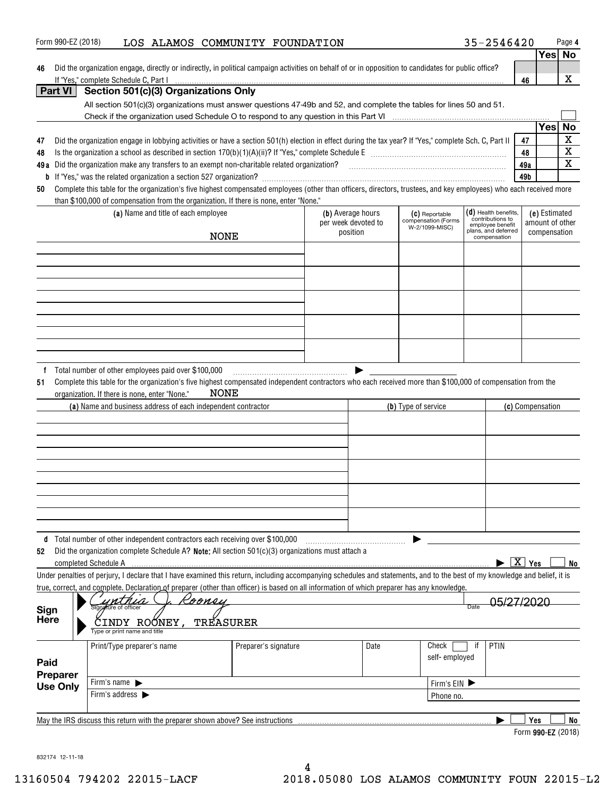| 46                                                                      | Form 990-EZ (2018)                                                                                                                                                         | LOS ALAMOS COMMUNITY FOUNDATION |                     |      |                     | 35-2546420                           |                        |                  | Page 4                  |
|-------------------------------------------------------------------------|----------------------------------------------------------------------------------------------------------------------------------------------------------------------------|---------------------------------|---------------------|------|---------------------|--------------------------------------|------------------------|------------------|-------------------------|
|                                                                         |                                                                                                                                                                            |                                 |                     |      |                     |                                      |                        | Yes No           |                         |
|                                                                         | Did the organization engage, directly or indirectly, in political campaign activities on behalf of or in opposition to candidates for public office?                       |                                 |                     |      |                     |                                      |                        |                  |                         |
|                                                                         | If "Yes," complete Schedule C, Part I                                                                                                                                      |                                 |                     |      |                     |                                      | 46                     |                  | X                       |
| Part VI                                                                 | Section 501(c)(3) Organizations Only                                                                                                                                       |                                 |                     |      |                     |                                      |                        |                  |                         |
|                                                                         | All section 501(c)(3) organizations must answer questions 47-49b and 52, and complete the tables for lines 50 and 51.                                                      |                                 |                     |      |                     |                                      |                        |                  |                         |
|                                                                         |                                                                                                                                                                            |                                 |                     |      |                     |                                      |                        |                  |                         |
|                                                                         |                                                                                                                                                                            |                                 |                     |      |                     |                                      |                        | Yes              | <b>No</b>               |
| 47                                                                      | Did the organization engage in lobbying activities or have a section 501(h) election in effect during the tax year? If "Yes," complete Sch. C, Part II                     |                                 |                     |      |                     |                                      | 47                     |                  | $\mathbf X$             |
| 48                                                                      |                                                                                                                                                                            |                                 |                     |      |                     |                                      | 48                     |                  | $\overline{\textbf{X}}$ |
|                                                                         |                                                                                                                                                                            |                                 |                     |      |                     |                                      | 49a                    |                  | $\overline{\mathbf{x}}$ |
|                                                                         |                                                                                                                                                                            |                                 |                     |      |                     |                                      | 49b                    |                  |                         |
| 50                                                                      | Complete this table for the organization's five highest compensated employees (other than officers, directors, trustees, and key employees) who each received more         |                                 |                     |      |                     |                                      |                        |                  |                         |
|                                                                         | than \$100,000 of compensation from the organization. If there is none, enter "None."                                                                                      |                                 |                     |      |                     |                                      |                        |                  |                         |
|                                                                         | (a) Name and title of each employee                                                                                                                                        |                                 | (b) Average hours   |      | (C) Reportable      | $(d)$ Health benefits,               |                        | (e) Estimated    |                         |
|                                                                         |                                                                                                                                                                            |                                 | per week devoted to |      | compensation (Forms | contributions to<br>employee benefit |                        | amount of other  |                         |
|                                                                         |                                                                                                                                                                            | NONE                            | position            |      | W-2/1099-MISC)      | plans, and deferred<br>compensation  |                        | compensation     |                         |
|                                                                         |                                                                                                                                                                            |                                 |                     |      |                     |                                      |                        |                  |                         |
|                                                                         |                                                                                                                                                                            |                                 |                     |      |                     |                                      |                        |                  |                         |
|                                                                         |                                                                                                                                                                            |                                 |                     |      |                     |                                      |                        |                  |                         |
|                                                                         |                                                                                                                                                                            |                                 |                     |      |                     |                                      |                        |                  |                         |
|                                                                         |                                                                                                                                                                            |                                 |                     |      |                     |                                      |                        |                  |                         |
|                                                                         |                                                                                                                                                                            |                                 |                     |      |                     |                                      |                        |                  |                         |
|                                                                         |                                                                                                                                                                            |                                 |                     |      |                     |                                      |                        |                  |                         |
|                                                                         |                                                                                                                                                                            |                                 |                     |      |                     |                                      |                        |                  |                         |
|                                                                         |                                                                                                                                                                            |                                 |                     |      |                     |                                      |                        |                  |                         |
|                                                                         |                                                                                                                                                                            |                                 |                     |      |                     |                                      |                        |                  |                         |
|                                                                         |                                                                                                                                                                            |                                 |                     |      |                     |                                      |                        |                  |                         |
|                                                                         | f Total number of other employees paid over \$100,000                                                                                                                      |                                 |                     |      |                     |                                      |                        |                  |                         |
| 51                                                                      | Complete this table for the organization's five highest compensated independent contractors who each received more than \$100,000 of compensation from the                 |                                 |                     |      |                     |                                      |                        |                  |                         |
|                                                                         |                                                                                                                                                                            |                                 |                     |      |                     |                                      |                        |                  |                         |
|                                                                         | organization. If there is none, enter "None."                                                                                                                              | NONE                            |                     |      |                     |                                      |                        |                  |                         |
|                                                                         | (a) Name and business address of each independent contractor                                                                                                               |                                 |                     |      | (b) Type of service |                                      |                        | (c) Compensation |                         |
|                                                                         |                                                                                                                                                                            |                                 |                     |      |                     |                                      |                        |                  |                         |
|                                                                         |                                                                                                                                                                            |                                 |                     |      |                     |                                      |                        |                  |                         |
|                                                                         |                                                                                                                                                                            |                                 |                     |      |                     |                                      |                        |                  |                         |
|                                                                         |                                                                                                                                                                            |                                 |                     |      |                     |                                      |                        |                  |                         |
|                                                                         |                                                                                                                                                                            |                                 |                     |      |                     |                                      |                        |                  |                         |
|                                                                         |                                                                                                                                                                            |                                 |                     |      |                     |                                      |                        |                  |                         |
|                                                                         |                                                                                                                                                                            |                                 |                     |      |                     |                                      |                        |                  |                         |
|                                                                         |                                                                                                                                                                            |                                 |                     |      |                     |                                      |                        |                  |                         |
|                                                                         |                                                                                                                                                                            |                                 |                     |      |                     |                                      |                        |                  |                         |
|                                                                         |                                                                                                                                                                            |                                 |                     |      |                     |                                      |                        |                  |                         |
|                                                                         | d Total number of other independent contractors each receiving over \$100,000                                                                                              |                                 |                     |      |                     |                                      |                        |                  |                         |
|                                                                         |                                                                                                                                                                            |                                 |                     |      |                     |                                      |                        |                  |                         |
|                                                                         | Did the organization complete Schedule A? Note: All section $501(c)(3)$ organizations must attach a                                                                        |                                 |                     |      |                     |                                      |                        |                  |                         |
|                                                                         | completed Schedule A                                                                                                                                                       |                                 |                     |      |                     |                                      | $\boxed{\text{X}}$ Yes |                  |                         |
|                                                                         | Under penalties of perjury, I declare that I have examined this return, including accompanying schedules and statements, and to the best of my knowledge and belief, it is |                                 |                     |      |                     |                                      |                        |                  |                         |
|                                                                         | true, correct, and complete. Declaration of preparer (other than officer) is based on all information of which preparer has any knowledge.                                 |                                 |                     |      |                     |                                      |                        |                  |                         |
|                                                                         | Roonsy<br>qnature of officer                                                                                                                                               |                                 |                     |      |                     | Date                                 |                        |                  |                         |
|                                                                         |                                                                                                                                                                            |                                 |                     |      |                     |                                      |                        |                  |                         |
|                                                                         | <u>CINDY RO</u> ÓNEY,<br>Type or print name and title                                                                                                                      | TREASURER                       |                     |      |                     |                                      |                        |                  |                         |
|                                                                         |                                                                                                                                                                            |                                 |                     |      |                     |                                      |                        |                  |                         |
|                                                                         | Print/Type preparer's name                                                                                                                                                 | Preparer's signature            |                     | Date | Check               | PTIN<br>ïf                           |                        |                  |                         |
|                                                                         |                                                                                                                                                                            |                                 |                     |      | self-employed       |                                      |                        |                  |                         |
|                                                                         |                                                                                                                                                                            |                                 |                     |      |                     |                                      |                        |                  |                         |
|                                                                         | Firm's name $\blacktriangleright$                                                                                                                                          |                                 |                     |      | Firm's EIN          |                                      |                        |                  |                         |
|                                                                         | Firm's address $\blacktriangleright$                                                                                                                                       |                                 |                     |      | Phone no.           |                                      |                        |                  |                         |
|                                                                         |                                                                                                                                                                            |                                 |                     |      |                     |                                      |                        |                  |                         |
| 52<br>Sign<br><b>Here</b><br>Paid<br><b>Preparer</b><br><b>Use Only</b> | May the IRS discuss this return with the preparer shown above? See instructions                                                                                            |                                 |                     |      |                     |                                      |                        | <b>Yes</b>       | No<br>No                |

832174 12-11-18

4 13160504 794202 22015-LACF 2018.05080 LOS ALAMOS COMMUNITY FOUN 22015-L2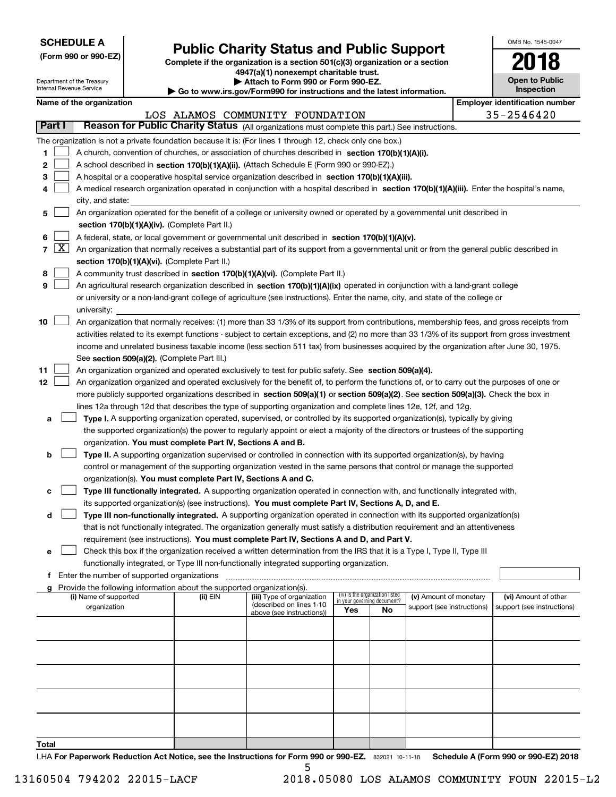| <b>SCHEDULE A</b> |
|-------------------|
|-------------------|

Department of the Treasury Internal Revenue Service

**(Form 990 or 990-EZ)**

## **Public Charity Status and Public Support**

**Complete if the organization is a section 501(c)(3) organization or a section 4947(a)(1) nonexempt charitable trust. | Attach to Form 990 or Form 990-EZ.** 

| <b>P</b> Allach to Form 330 or Form 330-LZ.                              |  |
|--------------------------------------------------------------------------|--|
| ► Go to www.irs.gov/Form990 for instructions and the latest information. |  |
|                                                                          |  |

**Open to Public Inspection 2018**

OMB No. 1545-0047

|                 | Name of the organization                                                                                                                                                                   |          |                                                       |                                    |    |                            | <b>Employer identification number</b> |
|-----------------|--------------------------------------------------------------------------------------------------------------------------------------------------------------------------------------------|----------|-------------------------------------------------------|------------------------------------|----|----------------------------|---------------------------------------|
| Part I          | Reason for Public Charity Status (All organizations must complete this part.) See instructions.                                                                                            |          | LOS ALAMOS COMMUNITY FOUNDATION                       |                                    |    |                            | 35-2546420                            |
|                 |                                                                                                                                                                                            |          |                                                       |                                    |    |                            |                                       |
|                 | The organization is not a private foundation because it is: (For lines 1 through 12, check only one box.)                                                                                  |          |                                                       |                                    |    |                            |                                       |
| 1.              | A church, convention of churches, or association of churches described in section 170(b)(1)(A)(i).                                                                                         |          |                                                       |                                    |    |                            |                                       |
| 2               | A school described in section 170(b)(1)(A)(ii). (Attach Schedule E (Form 990 or 990-EZ).)                                                                                                  |          |                                                       |                                    |    |                            |                                       |
| 3               | A hospital or a cooperative hospital service organization described in section 170(b)(1)(A)(iii).                                                                                          |          |                                                       |                                    |    |                            |                                       |
| 4               | A medical research organization operated in conjunction with a hospital described in section 170(b)(1)(A)(iii). Enter the hospital's name,                                                 |          |                                                       |                                    |    |                            |                                       |
|                 | city, and state:                                                                                                                                                                           |          |                                                       |                                    |    |                            |                                       |
| 5               | An organization operated for the benefit of a college or university owned or operated by a governmental unit described in<br>section 170(b)(1)(A)(iv). (Complete Part II.)                 |          |                                                       |                                    |    |                            |                                       |
|                 |                                                                                                                                                                                            |          |                                                       |                                    |    |                            |                                       |
| 6<br>$7 \times$ | A federal, state, or local government or governmental unit described in section 170(b)(1)(A)(v).                                                                                           |          |                                                       |                                    |    |                            |                                       |
|                 | An organization that normally receives a substantial part of its support from a governmental unit or from the general public described in<br>section 170(b)(1)(A)(vi). (Complete Part II.) |          |                                                       |                                    |    |                            |                                       |
| 8               | A community trust described in section 170(b)(1)(A)(vi). (Complete Part II.)                                                                                                               |          |                                                       |                                    |    |                            |                                       |
| 9               | An agricultural research organization described in section 170(b)(1)(A)(ix) operated in conjunction with a land-grant college                                                              |          |                                                       |                                    |    |                            |                                       |
|                 | or university or a non-land-grant college of agriculture (see instructions). Enter the name, city, and state of the college or                                                             |          |                                                       |                                    |    |                            |                                       |
|                 | university:                                                                                                                                                                                |          |                                                       |                                    |    |                            |                                       |
| 10              | An organization that normally receives: (1) more than 33 1/3% of its support from contributions, membership fees, and gross receipts from                                                  |          |                                                       |                                    |    |                            |                                       |
|                 | activities related to its exempt functions - subject to certain exceptions, and (2) no more than 33 1/3% of its support from gross investment                                              |          |                                                       |                                    |    |                            |                                       |
|                 | income and unrelated business taxable income (less section 511 tax) from businesses acquired by the organization after June 30, 1975.                                                      |          |                                                       |                                    |    |                            |                                       |
|                 | See section 509(a)(2). (Complete Part III.)                                                                                                                                                |          |                                                       |                                    |    |                            |                                       |
| 11              | An organization organized and operated exclusively to test for public safety. See section 509(a)(4).                                                                                       |          |                                                       |                                    |    |                            |                                       |
| 12              | An organization organized and operated exclusively for the benefit of, to perform the functions of, or to carry out the purposes of one or                                                 |          |                                                       |                                    |    |                            |                                       |
|                 | more publicly supported organizations described in section 509(a)(1) or section 509(a)(2). See section 509(a)(3). Check the box in                                                         |          |                                                       |                                    |    |                            |                                       |
|                 | lines 12a through 12d that describes the type of supporting organization and complete lines 12e, 12f, and 12g.                                                                             |          |                                                       |                                    |    |                            |                                       |
| а               | Type I. A supporting organization operated, supervised, or controlled by its supported organization(s), typically by giving                                                                |          |                                                       |                                    |    |                            |                                       |
|                 | the supported organization(s) the power to regularly appoint or elect a majority of the directors or trustees of the supporting                                                            |          |                                                       |                                    |    |                            |                                       |
|                 | organization. You must complete Part IV, Sections A and B.                                                                                                                                 |          |                                                       |                                    |    |                            |                                       |
| b               | Type II. A supporting organization supervised or controlled in connection with its supported organization(s), by having                                                                    |          |                                                       |                                    |    |                            |                                       |
|                 | control or management of the supporting organization vested in the same persons that control or manage the supported                                                                       |          |                                                       |                                    |    |                            |                                       |
|                 | organization(s). You must complete Part IV, Sections A and C.                                                                                                                              |          |                                                       |                                    |    |                            |                                       |
| с               | Type III functionally integrated. A supporting organization operated in connection with, and functionally integrated with,                                                                 |          |                                                       |                                    |    |                            |                                       |
|                 | its supported organization(s) (see instructions). You must complete Part IV, Sections A, D, and E.                                                                                         |          |                                                       |                                    |    |                            |                                       |
| d               | Type III non-functionally integrated. A supporting organization operated in connection with its supported organization(s)                                                                  |          |                                                       |                                    |    |                            |                                       |
|                 | that is not functionally integrated. The organization generally must satisfy a distribution requirement and an attentiveness                                                               |          |                                                       |                                    |    |                            |                                       |
|                 | requirement (see instructions). You must complete Part IV, Sections A and D, and Part V.                                                                                                   |          |                                                       |                                    |    |                            |                                       |
|                 | □ Check this box if the organization received a written determination from the IRS that it is a Type I, Type II, Type III                                                                  |          |                                                       |                                    |    |                            |                                       |
|                 | functionally integrated, or Type III non-functionally integrated supporting organization.                                                                                                  |          |                                                       |                                    |    |                            |                                       |
|                 | f Enter the number of supported organizations<br>Provide the following information about the supported organization(s).                                                                    |          |                                                       |                                    |    |                            |                                       |
|                 | (i) Name of supported                                                                                                                                                                      | (ii) EIN | (iii) Type of organization                            | (iv) Is the organization listed    |    | (v) Amount of monetary     | (vi) Amount of other                  |
|                 | organization                                                                                                                                                                               |          | (described on lines 1-10<br>above (see instructions)) | in your governing document?<br>Yes | No | support (see instructions) | support (see instructions)            |
|                 |                                                                                                                                                                                            |          |                                                       |                                    |    |                            |                                       |
|                 |                                                                                                                                                                                            |          |                                                       |                                    |    |                            |                                       |
|                 |                                                                                                                                                                                            |          |                                                       |                                    |    |                            |                                       |
|                 |                                                                                                                                                                                            |          |                                                       |                                    |    |                            |                                       |
|                 |                                                                                                                                                                                            |          |                                                       |                                    |    |                            |                                       |
|                 |                                                                                                                                                                                            |          |                                                       |                                    |    |                            |                                       |
|                 |                                                                                                                                                                                            |          |                                                       |                                    |    |                            |                                       |
|                 |                                                                                                                                                                                            |          |                                                       |                                    |    |                            |                                       |
|                 |                                                                                                                                                                                            |          |                                                       |                                    |    |                            |                                       |
|                 |                                                                                                                                                                                            |          |                                                       |                                    |    |                            |                                       |
| To <u>tal</u>   |                                                                                                                                                                                            |          |                                                       |                                    |    |                            |                                       |

LHA For Paperwork Reduction Act Notice, see the Instructions for Form 990 or 990-EZ. 832021 10-11-18 Schedule A (Form 990 or 990-EZ) 2018 5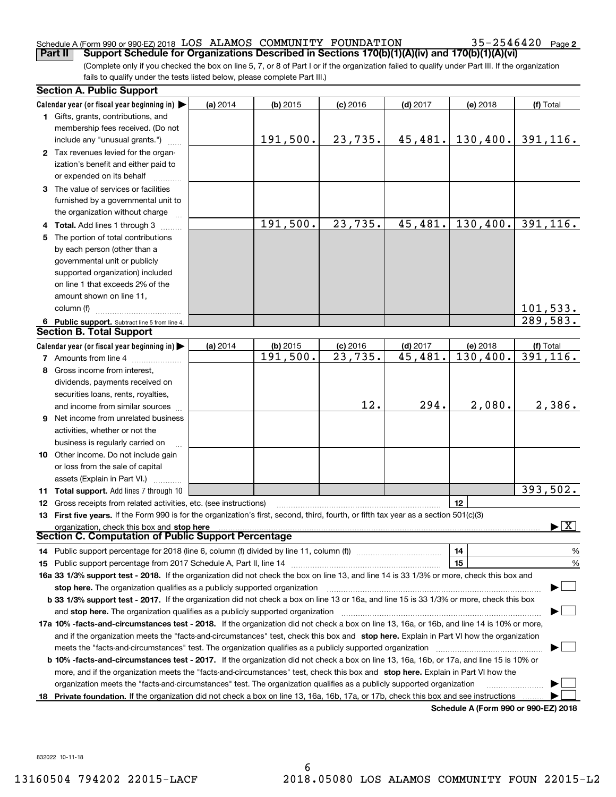### Schedule A (Form 990 or 990-EZ) 2018 Page LOS ALAMOS COMMUNITY FOUNDATION 35-2546420

35-2546420 Page 2

(Complete only if you checked the box on line 5, 7, or 8 of Part I or if the organization failed to qualify under Part III. If the organization fails to qualify under the tests listed below, please complete Part III.) **Part II Support Schedule for Organizations Described in Sections 170(b)(1)(A)(iv) and 170(b)(1)(A)(vi)**

|    | <b>Section A. Public Support</b>                                                                                                               |          |            |                       |            |                                      |                                          |
|----|------------------------------------------------------------------------------------------------------------------------------------------------|----------|------------|-----------------------|------------|--------------------------------------|------------------------------------------|
|    | Calendar year (or fiscal year beginning in)                                                                                                    | (a) 2014 | $(b)$ 2015 | $(c)$ 2016            | $(d)$ 2017 | (e) 2018                             | (f) Total                                |
|    | 1 Gifts, grants, contributions, and                                                                                                            |          |            |                       |            |                                      |                                          |
|    | membership fees received. (Do not                                                                                                              |          |            |                       |            |                                      |                                          |
|    | include any "unusual grants.")                                                                                                                 |          | 191,500.   | 23,735.               | 45,481.    | 130, 400.                            | 391,116.                                 |
|    | 2 Tax revenues levied for the organ-                                                                                                           |          |            |                       |            |                                      |                                          |
|    | ization's benefit and either paid to                                                                                                           |          |            |                       |            |                                      |                                          |
|    | or expended on its behalf                                                                                                                      |          |            |                       |            |                                      |                                          |
|    | 3 The value of services or facilities                                                                                                          |          |            |                       |            |                                      |                                          |
|    | furnished by a governmental unit to                                                                                                            |          |            |                       |            |                                      |                                          |
|    | the organization without charge                                                                                                                |          |            |                       |            |                                      |                                          |
|    | 4 Total. Add lines 1 through 3                                                                                                                 |          | 191,500.   | 23,735.               | 45,481.    | 130,400.                             | 391, 116.                                |
| 5. | The portion of total contributions                                                                                                             |          |            |                       |            |                                      |                                          |
|    | by each person (other than a                                                                                                                   |          |            |                       |            |                                      |                                          |
|    | governmental unit or publicly                                                                                                                  |          |            |                       |            |                                      |                                          |
|    | supported organization) included                                                                                                               |          |            |                       |            |                                      |                                          |
|    | on line 1 that exceeds 2% of the                                                                                                               |          |            |                       |            |                                      |                                          |
|    | amount shown on line 11,                                                                                                                       |          |            |                       |            |                                      |                                          |
|    | column (f)                                                                                                                                     |          |            |                       |            |                                      | 101,533.                                 |
|    | 6 Public support. Subtract line 5 from line 4.                                                                                                 |          |            |                       |            |                                      | 289,583.                                 |
|    | <b>Section B. Total Support</b>                                                                                                                |          |            |                       |            |                                      |                                          |
|    | Calendar year (or fiscal year beginning in)                                                                                                    | (a) 2014 | $(b)$ 2015 | $(c)$ 2016            | $(d)$ 2017 | (e) 2018                             | (f) Total                                |
|    | 7 Amounts from line 4                                                                                                                          |          | 191,500.   | $\overline{23,735}$ . | 45,481.    | 130,400.                             | 391, 116.                                |
|    | 8 Gross income from interest,                                                                                                                  |          |            |                       |            |                                      |                                          |
|    | dividends, payments received on                                                                                                                |          |            |                       |            |                                      |                                          |
|    | securities loans, rents, royalties,                                                                                                            |          |            |                       |            |                                      |                                          |
|    | and income from similar sources                                                                                                                |          |            | 12.                   | 294.       | 2,080.                               | 2,386.                                   |
|    | 9 Net income from unrelated business                                                                                                           |          |            |                       |            |                                      |                                          |
|    | activities, whether or not the                                                                                                                 |          |            |                       |            |                                      |                                          |
|    | business is regularly carried on                                                                                                               |          |            |                       |            |                                      |                                          |
|    | 10 Other income. Do not include gain                                                                                                           |          |            |                       |            |                                      |                                          |
|    | or loss from the sale of capital                                                                                                               |          |            |                       |            |                                      |                                          |
|    | assets (Explain in Part VI.)                                                                                                                   |          |            |                       |            |                                      |                                          |
|    | 11 Total support. Add lines 7 through 10                                                                                                       |          |            |                       |            |                                      | 393,502.                                 |
|    | <b>12</b> Gross receipts from related activities, etc. (see instructions)                                                                      |          |            |                       |            | 12                                   |                                          |
|    | 13 First five years. If the Form 990 is for the organization's first, second, third, fourth, or fifth tax year as a section 501(c)(3)          |          |            |                       |            |                                      |                                          |
|    | organization, check this box and stop here                                                                                                     |          |            |                       |            |                                      | $\blacktriangleright$ $\boxed{\text{X}}$ |
|    | Section C. Computation of Public Support Percentage                                                                                            |          |            |                       |            |                                      |                                          |
|    | 14 Public support percentage for 2018 (line 6, column (f) divided by line 11, column (f) <i>manumanomeron</i> entertain-                       |          |            |                       |            | 14                                   | %                                        |
|    |                                                                                                                                                |          |            |                       |            | 15                                   | $\%$                                     |
|    | 16a 33 1/3% support test - 2018. If the organization did not check the box on line 13, and line 14 is 33 1/3% or more, check this box and      |          |            |                       |            |                                      |                                          |
|    | stop here. The organization qualifies as a publicly supported organization                                                                     |          |            |                       |            |                                      |                                          |
|    | b 33 1/3% support test - 2017. If the organization did not check a box on line 13 or 16a, and line 15 is 33 1/3% or more, check this box       |          |            |                       |            |                                      |                                          |
|    | and stop here. The organization qualifies as a publicly supported organization                                                                 |          |            |                       |            |                                      |                                          |
|    | 17a 10% -facts-and-circumstances test - 2018. If the organization did not check a box on line 13, 16a, or 16b, and line 14 is 10% or more,     |          |            |                       |            |                                      |                                          |
|    | and if the organization meets the "facts-and-circumstances" test, check this box and stop here. Explain in Part VI how the organization        |          |            |                       |            |                                      |                                          |
|    | meets the "facts-and-circumstances" test. The organization qualifies as a publicly supported organization                                      |          |            |                       |            |                                      |                                          |
|    | <b>b 10% -facts-and-circumstances test - 2017.</b> If the organization did not check a box on line 13, 16a, 16b, or 17a, and line 15 is 10% or |          |            |                       |            |                                      |                                          |
|    | more, and if the organization meets the "facts-and-circumstances" test, check this box and stop here. Explain in Part VI how the               |          |            |                       |            |                                      |                                          |
|    | organization meets the "facts-and-circumstances" test. The organization qualifies as a publicly supported organization                         |          |            |                       |            |                                      |                                          |
|    | 18 Private foundation. If the organization did not check a box on line 13, 16a, 16b, 17a, or 17b, check this box and see instructions          |          |            |                       |            |                                      |                                          |
|    |                                                                                                                                                |          |            |                       |            | Schodule A (Form 000 or 000 F7) 2019 |                                          |

**Schedule A (Form 990 or 990-EZ) 2018**

832022 10-11-18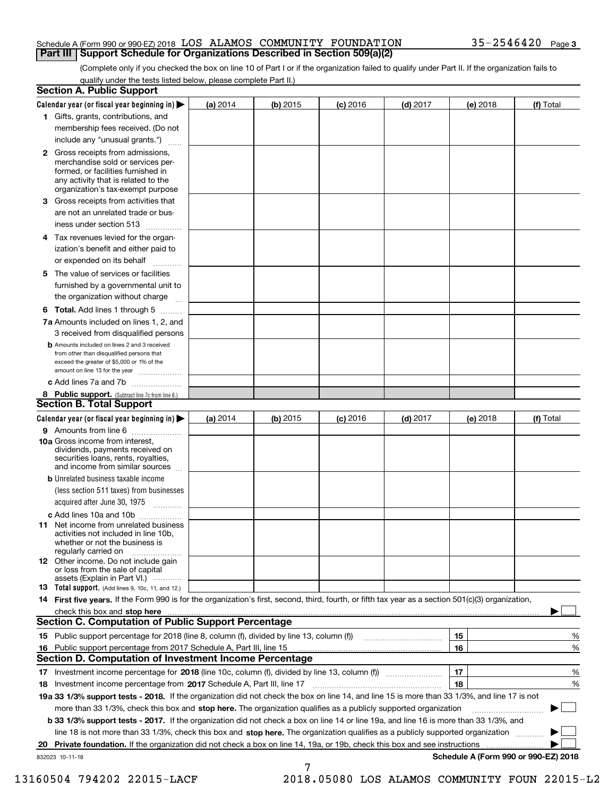#### Schedule A (Form 990 or 990-EZ) 2018 Page LOS ALAMOS COMMUNITY FOUNDATION 35-2546420 **Part III Support Schedule for Organizations Described in Section 509(a)(2)**

(Complete only if you checked the box on line 10 of Part I or if the organization failed to qualify under Part II. If the organization fails to qualify under the tests listed below, please complete Part II.)

| <b>Section A. Public Support</b>                                                                                                                                                                                               |            |            |            |            |          |                                      |
|--------------------------------------------------------------------------------------------------------------------------------------------------------------------------------------------------------------------------------|------------|------------|------------|------------|----------|--------------------------------------|
| Calendar year (or fiscal year beginning in) $\blacktriangleright$                                                                                                                                                              | (a) 2014   | $(b)$ 2015 | $(c)$ 2016 | $(d)$ 2017 | (e) 2018 | (f) Total                            |
| 1 Gifts, grants, contributions, and                                                                                                                                                                                            |            |            |            |            |          |                                      |
| membership fees received. (Do not                                                                                                                                                                                              |            |            |            |            |          |                                      |
| include any "unusual grants.")                                                                                                                                                                                                 |            |            |            |            |          |                                      |
| 2 Gross receipts from admissions,<br>merchandise sold or services per-<br>formed, or facilities furnished in<br>any activity that is related to the<br>organization's tax-exempt purpose                                       |            |            |            |            |          |                                      |
| 3 Gross receipts from activities that<br>are not an unrelated trade or bus-                                                                                                                                                    |            |            |            |            |          |                                      |
| iness under section 513                                                                                                                                                                                                        |            |            |            |            |          |                                      |
| 4 Tax revenues levied for the organ-<br>ization's benefit and either paid to<br>or expended on its behalf                                                                                                                      |            |            |            |            |          |                                      |
| .<br>5 The value of services or facilities                                                                                                                                                                                     |            |            |            |            |          |                                      |
| furnished by a governmental unit to<br>the organization without charge                                                                                                                                                         |            |            |            |            |          |                                      |
|                                                                                                                                                                                                                                |            |            |            |            |          |                                      |
| <b>6 Total.</b> Add lines 1 through 5<br>7a Amounts included on lines 1, 2, and                                                                                                                                                |            |            |            |            |          |                                      |
| 3 received from disqualified persons                                                                                                                                                                                           |            |            |            |            |          |                                      |
| <b>b</b> Amounts included on lines 2 and 3 received<br>from other than disqualified persons that<br>exceed the greater of \$5,000 or 1% of the<br>amount on line 13 for the year                                               |            |            |            |            |          |                                      |
| c Add lines 7a and 7b                                                                                                                                                                                                          |            |            |            |            |          |                                      |
| 8 Public support. (Subtract line 7c from line 6.)                                                                                                                                                                              |            |            |            |            |          |                                      |
| <b>Section B. Total Support</b>                                                                                                                                                                                                |            |            |            |            |          |                                      |
| Calendar year (or fiscal year beginning in) $\blacktriangleright$                                                                                                                                                              | (a) $2014$ | $(b)$ 2015 | $(c)$ 2016 | $(d)$ 2017 | (e) 2018 | (f) Total                            |
| 9 Amounts from line 6                                                                                                                                                                                                          |            |            |            |            |          |                                      |
| 10a Gross income from interest,<br>dividends, payments received on<br>securities loans, rents, royalties,<br>and income from similar sources                                                                                   |            |            |            |            |          |                                      |
| <b>b</b> Unrelated business taxable income<br>(less section 511 taxes) from businesses<br>acquired after June 30, 1975                                                                                                         |            |            |            |            |          |                                      |
| c Add lines 10a and 10b                                                                                                                                                                                                        |            |            |            |            |          |                                      |
| 11 Net income from unrelated business<br>activities not included in line 10b,<br>whether or not the business is<br>regularly carried on                                                                                        |            |            |            |            |          |                                      |
| <b>12</b> Other income. Do not include gain<br>or loss from the sale of capital<br>assets (Explain in Part VI.)                                                                                                                |            |            |            |            |          |                                      |
| <b>13</b> Total support. (Add lines 9, 10c, 11, and 12.)                                                                                                                                                                       |            |            |            |            |          |                                      |
| 14 First five years. If the Form 990 is for the organization's first, second, third, fourth, or fifth tax year as a section 501(c)(3) organization,                                                                            |            |            |            |            |          |                                      |
| check this box and stop here measurements are all the state of the state of the state of the state of the state of the state of the state of the state of the state of the state of the state of the state of the state of the |            |            |            |            |          |                                      |
| <b>Section C. Computation of Public Support Percentage</b>                                                                                                                                                                     |            |            |            |            |          |                                      |
| 15 Public support percentage for 2018 (line 8, column (f), divided by line 13, column (f))                                                                                                                                     |            |            |            |            | 15       | %                                    |
| 16 Public support percentage from 2017 Schedule A, Part III, line 15                                                                                                                                                           |            |            |            |            | 16       | %                                    |
| <b>Section D. Computation of Investment Income Percentage</b>                                                                                                                                                                  |            |            |            |            |          |                                      |
| 17 Investment income percentage for 2018 (line 10c, column (f), divided by line 13, column (f))<br><b>18</b> Investment income percentage from <b>2017</b> Schedule A, Part III, line 17                                       |            |            |            |            | 17<br>18 | %<br>%                               |
| 19a 33 1/3% support tests - 2018. If the organization did not check the box on line 14, and line 15 is more than 33 1/3%, and line 17 is not                                                                                   |            |            |            |            |          |                                      |
| more than 33 1/3%, check this box and stop here. The organization qualifies as a publicly supported organization                                                                                                               |            |            |            |            |          | ▶                                    |
| b 33 1/3% support tests - 2017. If the organization did not check a box on line 14 or line 19a, and line 16 is more than 33 1/3%, and                                                                                          |            |            |            |            |          |                                      |
| line 18 is not more than 33 1/3%, check this box and stop here. The organization qualifies as a publicly supported organization                                                                                                |            |            |            |            |          |                                      |
| Private foundation. If the organization did not check a box on line 14, 19a, or 19b, check this box and see instructions<br>20                                                                                                 |            |            |            |            |          |                                      |
| 832023 10-11-18                                                                                                                                                                                                                |            |            |            |            |          | Schedule A (Form 990 or 990-EZ) 2018 |
|                                                                                                                                                                                                                                |            | 7          |            |            |          |                                      |

13160504 794202 22015-LACF 2018.05080 LOS ALAMOS COMMUNITY FOUN 22015-L2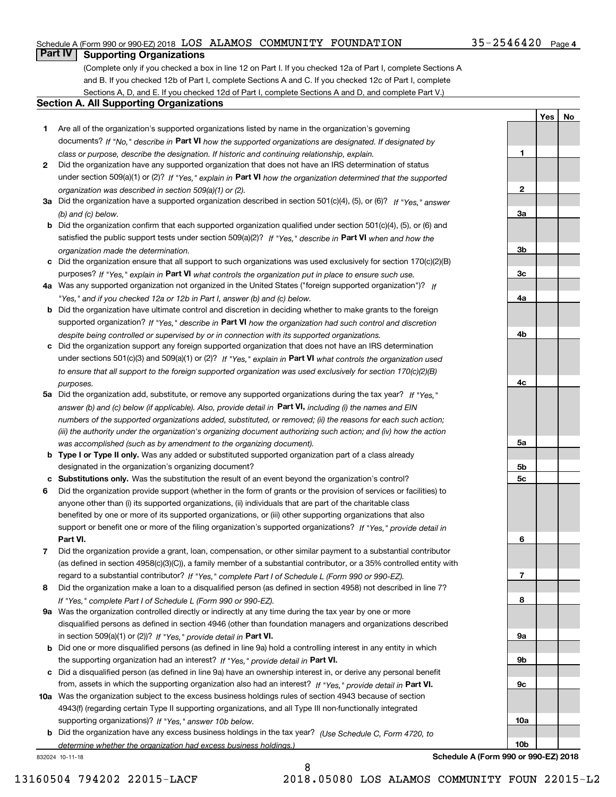#### Schedule A (Form 990 or 990-EZ) 2018 Page LOS ALAMOS COMMUNITY FOUNDATION 35-2546420

## **Part IV Supporting Organizations**

(Complete only if you checked a box in line 12 on Part I. If you checked 12a of Part I, complete Sections A and B. If you checked 12b of Part I, complete Sections A and C. If you checked 12c of Part I, complete Sections A, D, and E. If you checked 12d of Part I, complete Sections A and D, and complete Part V.)

#### **Section A. All Supporting Organizations**

- **1** Are all of the organization's supported organizations listed by name in the organization's governing documents? If "No," describe in **Part VI** how the supported organizations are designated. If designated by *class or purpose, describe the designation. If historic and continuing relationship, explain.*
- **2** Did the organization have any supported organization that does not have an IRS determination of status under section 509(a)(1) or (2)? If "Yes," explain in Part VI how the organization determined that the supported *organization was described in section 509(a)(1) or (2).*
- **3a** Did the organization have a supported organization described in section 501(c)(4), (5), or (6)? If "Yes," answer *(b) and (c) below.*
- **b** Did the organization confirm that each supported organization qualified under section 501(c)(4), (5), or (6) and satisfied the public support tests under section 509(a)(2)? If "Yes," describe in **Part VI** when and how the *organization made the determination.*
- **c**Did the organization ensure that all support to such organizations was used exclusively for section 170(c)(2)(B) purposes? If "Yes," explain in **Part VI** what controls the organization put in place to ensure such use.
- **4a***If* Was any supported organization not organized in the United States ("foreign supported organization")? *"Yes," and if you checked 12a or 12b in Part I, answer (b) and (c) below.*
- **b** Did the organization have ultimate control and discretion in deciding whether to make grants to the foreign supported organization? If "Yes," describe in **Part VI** how the organization had such control and discretion *despite being controlled or supervised by or in connection with its supported organizations.*
- **c** Did the organization support any foreign supported organization that does not have an IRS determination under sections 501(c)(3) and 509(a)(1) or (2)? If "Yes," explain in **Part VI** what controls the organization used *to ensure that all support to the foreign supported organization was used exclusively for section 170(c)(2)(B) purposes.*
- **5a** Did the organization add, substitute, or remove any supported organizations during the tax year? If "Yes," answer (b) and (c) below (if applicable). Also, provide detail in **Part VI,** including (i) the names and EIN *numbers of the supported organizations added, substituted, or removed; (ii) the reasons for each such action; (iii) the authority under the organization's organizing document authorizing such action; and (iv) how the action was accomplished (such as by amendment to the organizing document).*
- **b** Type I or Type II only. Was any added or substituted supported organization part of a class already designated in the organization's organizing document?
- **cSubstitutions only.**  Was the substitution the result of an event beyond the organization's control?
- **6** Did the organization provide support (whether in the form of grants or the provision of services or facilities) to **Part VI.** *If "Yes," provide detail in* support or benefit one or more of the filing organization's supported organizations? anyone other than (i) its supported organizations, (ii) individuals that are part of the charitable class benefited by one or more of its supported organizations, or (iii) other supporting organizations that also
- **7**Did the organization provide a grant, loan, compensation, or other similar payment to a substantial contributor *If "Yes," complete Part I of Schedule L (Form 990 or 990-EZ).* regard to a substantial contributor? (as defined in section 4958(c)(3)(C)), a family member of a substantial contributor, or a 35% controlled entity with
- **8** Did the organization make a loan to a disqualified person (as defined in section 4958) not described in line 7? *If "Yes," complete Part I of Schedule L (Form 990 or 990-EZ).*
- **9a** Was the organization controlled directly or indirectly at any time during the tax year by one or more in section 509(a)(1) or (2))? If "Yes," *provide detail in* <code>Part VI.</code> disqualified persons as defined in section 4946 (other than foundation managers and organizations described
- **b** Did one or more disqualified persons (as defined in line 9a) hold a controlling interest in any entity in which the supporting organization had an interest? If "Yes," provide detail in P**art VI**.
- **c**Did a disqualified person (as defined in line 9a) have an ownership interest in, or derive any personal benefit from, assets in which the supporting organization also had an interest? If "Yes," provide detail in P**art VI.**
- **10a** Was the organization subject to the excess business holdings rules of section 4943 because of section supporting organizations)? If "Yes," answer 10b below. 4943(f) (regarding certain Type II supporting organizations, and all Type III non-functionally integrated
- **b** Did the organization have any excess business holdings in the tax year? (Use Schedule C, Form 4720, to *determine whether the organization had excess business holdings.)*

832024 10-11-18



 $35 - 2546420$  Page 4

**1**

**YesNo**

**Schedule A (Form 990 or 990-EZ) 2018**

**10b**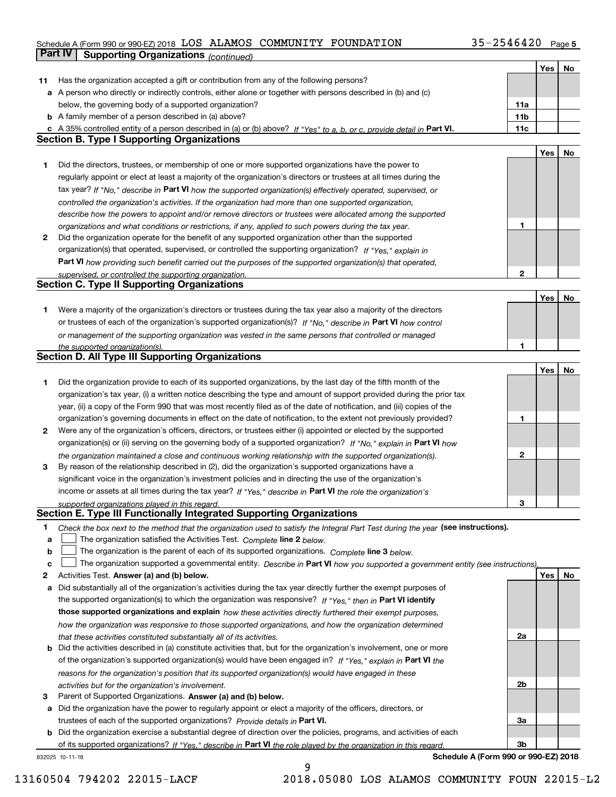#### Schedule A (Form 990 or 990-EZ) 2018 Page LOS ALAMOS COMMUNITY FOUNDATION 35-2546420

|    | Part IV<br><b>Supporting Organizations (continued)</b>                                                                            |                 |     |    |
|----|-----------------------------------------------------------------------------------------------------------------------------------|-----------------|-----|----|
|    |                                                                                                                                   |                 | Yes | No |
| 11 | Has the organization accepted a gift or contribution from any of the following persons?                                           |                 |     |    |
|    | a A person who directly or indirectly controls, either alone or together with persons described in (b) and (c)                    |                 |     |    |
|    | below, the governing body of a supported organization?                                                                            | 11a             |     |    |
|    | <b>b</b> A family member of a person described in (a) above?                                                                      | 11 <sub>b</sub> |     |    |
|    | c A 35% controlled entity of a person described in (a) or (b) above? If "Yes" to a, b, or c, provide detail in Part VI.           | 11c             |     |    |
|    | <b>Section B. Type I Supporting Organizations</b>                                                                                 |                 |     |    |
|    |                                                                                                                                   |                 | Yes | No |
| 1  | Did the directors, trustees, or membership of one or more supported organizations have the power to                               |                 |     |    |
|    | regularly appoint or elect at least a majority of the organization's directors or trustees at all times during the                |                 |     |    |
|    | tax year? If "No," describe in Part VI how the supported organization(s) effectively operated, supervised, or                     |                 |     |    |
|    | controlled the organization's activities. If the organization had more than one supported organization,                           |                 |     |    |
|    | describe how the powers to appoint and/or remove directors or trustees were allocated among the supported                         |                 |     |    |
|    | organizations and what conditions or restrictions, if any, applied to such powers during the tax year.                            | 1               |     |    |
| 2  | Did the organization operate for the benefit of any supported organization other than the supported                               |                 |     |    |
|    | organization(s) that operated, supervised, or controlled the supporting organization? If "Yes," explain in                        |                 |     |    |
|    | Part VI how providing such benefit carried out the purposes of the supported organization(s) that operated,                       |                 |     |    |
|    | supervised, or controlled the supporting organization.                                                                            | 2               |     |    |
|    | <b>Section C. Type II Supporting Organizations</b>                                                                                |                 |     |    |
|    |                                                                                                                                   |                 | Yes | No |
| 1  | Were a majority of the organization's directors or trustees during the tax year also a majority of the directors                  |                 |     |    |
|    | or trustees of each of the organization's supported organization(s)? If "No," describe in Part VI how control                     |                 |     |    |
|    | or management of the supporting organization was vested in the same persons that controlled or managed                            |                 |     |    |
|    | the supported organization(s).                                                                                                    | 1               |     |    |
|    | <b>Section D. All Type III Supporting Organizations</b>                                                                           |                 |     |    |
|    |                                                                                                                                   |                 | Yes | No |
| 1  | Did the organization provide to each of its supported organizations, by the last day of the fifth month of the                    |                 |     |    |
|    | organization's tax year, (i) a written notice describing the type and amount of support provided during the prior tax             |                 |     |    |
|    | year, (ii) a copy of the Form 990 that was most recently filed as of the date of notification, and (iii) copies of the            |                 |     |    |
|    | organization's governing documents in effect on the date of notification, to the extent not previously provided?                  | 1               |     |    |
| 2  | Were any of the organization's officers, directors, or trustees either (i) appointed or elected by the supported                  |                 |     |    |
|    | organization(s) or (ii) serving on the governing body of a supported organization? If "No," explain in Part VI how                |                 |     |    |
|    | the organization maintained a close and continuous working relationship with the supported organization(s).                       | 2               |     |    |
| 3  | By reason of the relationship described in (2), did the organization's supported organizations have a                             |                 |     |    |
|    | significant voice in the organization's investment policies and in directing the use of the organization's                        |                 |     |    |
|    | income or assets at all times during the tax year? If "Yes," describe in Part VI the role the organization's                      |                 |     |    |
|    | supported organizations played in this regard.                                                                                    | З               |     |    |
|    | Section E. Type III Functionally Integrated Supporting Organizations                                                              |                 |     |    |
| 1  | Check the box next to the method that the organization used to satisfy the Integral Part Test during the year (see instructions). |                 |     |    |
| a  | The organization satisfied the Activities Test. Complete line 2 below.                                                            |                 |     |    |
| b  | The organization is the parent of each of its supported organizations. Complete line 3 below.                                     |                 |     |    |
| c  | The organization supported a governmental entity. Describe in Part VI how you supported a government entity (see instructions),   |                 |     |    |
| 2  | Activities Test. Answer (a) and (b) below.                                                                                        |                 | Yes | No |
| а  | Did substantially all of the organization's activities during the tax year directly further the exempt purposes of                |                 |     |    |
|    | the supported organization(s) to which the organization was responsive? If "Yes," then in Part VI identify                        |                 |     |    |
|    | those supported organizations and explain how these activities directly furthered their exempt purposes,                          |                 |     |    |
|    | how the organization was responsive to those supported organizations, and how the organization determined                         |                 |     |    |
|    | that these activities constituted substantially all of its activities.                                                            | 2a              |     |    |
|    | <b>b</b> Did the activities described in (a) constitute activities that, but for the organization's involvement, one or more      |                 |     |    |
|    | of the organization's supported organization(s) would have been engaged in? If "Yes," explain in Part VI the                      |                 |     |    |
|    | reasons for the organization's position that its supported organization(s) would have engaged in these                            |                 |     |    |
|    | activities but for the organization's involvement.                                                                                | 2b              |     |    |
| з  | Parent of Supported Organizations. Answer (a) and (b) below.                                                                      |                 |     |    |
|    | a Did the organization have the power to regularly appoint or elect a majority of the officers, directors, or                     |                 |     |    |
|    | trustees of each of the supported organizations? Provide details in Part VI.                                                      | За              |     |    |
|    | <b>b</b> Did the organization exercise a substantial degree of direction over the policies, programs, and activities of each      |                 |     |    |
|    | of its supported organizations? If "Yes." describe in Part VI the role played by the organization in this regard.                 | 3b              |     |    |
|    | Schedule A (Form 990 or 990-EZ) 2018<br>832025 10-11-18                                                                           |                 |     |    |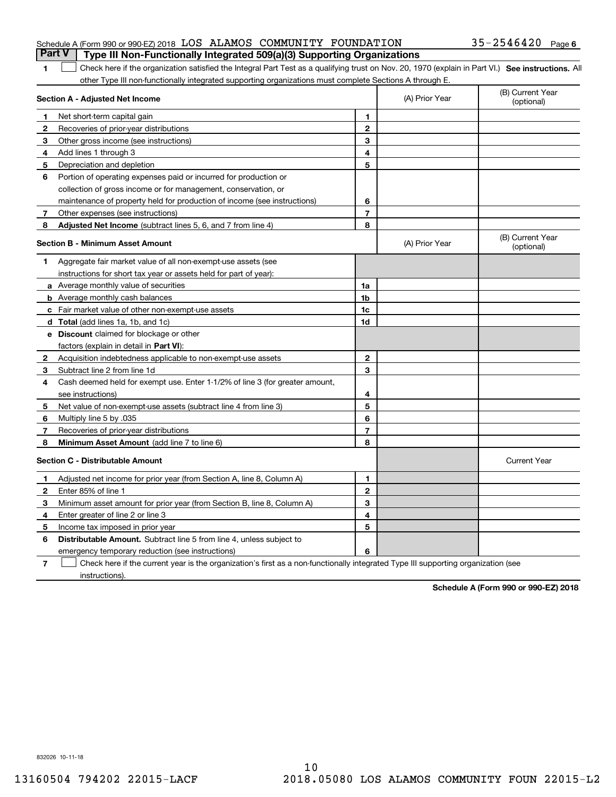|  | Schedule A (Form 990 or 990-EZ) 2018 LOS ALAMOS COMMUNITY FOUNDATION                  |  |  | $35 - 2546420$ Page 6 |  |
|--|---------------------------------------------------------------------------------------|--|--|-----------------------|--|
|  | <b>Part V</b> Type III Non-Functionally Integrated 509(a)(3) Supporting Organizations |  |  |                       |  |

| 1 Check here if the organization satisfied the Integral Part Test as a qualifying trust on Nov. 20, 1970 (explain in Part VI.) See instructions. All |  |
|------------------------------------------------------------------------------------------------------------------------------------------------------|--|
| other Type III non-functionally integrated supporting organizations must complete Sections A through E.                                              |  |

|              | Section A - Adjusted Net Income                                              |                | (A) Prior Year | (B) Current Year<br>(optional) |
|--------------|------------------------------------------------------------------------------|----------------|----------------|--------------------------------|
| 1            | Net short-term capital gain                                                  | 1              |                |                                |
| $\mathbf{2}$ | Recoveries of prior-year distributions                                       | $\mathbf{2}$   |                |                                |
| 3            | Other gross income (see instructions)                                        | 3              |                |                                |
| 4            | Add lines 1 through 3                                                        | 4              |                |                                |
| 5            | Depreciation and depletion                                                   | 5              |                |                                |
| 6            | Portion of operating expenses paid or incurred for production or             |                |                |                                |
|              | collection of gross income or for management, conservation, or               |                |                |                                |
|              | maintenance of property held for production of income (see instructions)     | 6              |                |                                |
| 7            | Other expenses (see instructions)                                            | $\overline{7}$ |                |                                |
| 8            | Adjusted Net Income (subtract lines 5, 6, and 7 from line 4)                 | 8              |                |                                |
|              | <b>Section B - Minimum Asset Amount</b>                                      |                | (A) Prior Year | (B) Current Year<br>(optional) |
| 1            | Aggregate fair market value of all non-exempt-use assets (see                |                |                |                                |
|              | instructions for short tax year or assets held for part of year):            |                |                |                                |
|              | <b>a</b> Average monthly value of securities                                 | 1a             |                |                                |
|              | <b>b</b> Average monthly cash balances                                       | 1 <sub>b</sub> |                |                                |
|              | <b>c</b> Fair market value of other non-exempt-use assets                    | 1c             |                |                                |
|              | <b>d</b> Total (add lines 1a, 1b, and 1c)                                    | 1d             |                |                                |
|              | e Discount claimed for blockage or other                                     |                |                |                                |
|              | factors (explain in detail in Part VI):                                      |                |                |                                |
| 2            | Acquisition indebtedness applicable to non-exempt-use assets                 | $\overline{2}$ |                |                                |
| 3            | Subtract line 2 from line 1d                                                 | 3              |                |                                |
| 4            | Cash deemed held for exempt use. Enter 1-1/2% of line 3 (for greater amount, |                |                |                                |
|              | see instructions)                                                            | 4              |                |                                |
| 5            | Net value of non-exempt-use assets (subtract line 4 from line 3)             | 5              |                |                                |
| 6            | Multiply line 5 by .035                                                      | 6              |                |                                |
| 7            | Recoveries of prior-year distributions                                       | $\overline{7}$ |                |                                |
| -8           | <b>Minimum Asset Amount</b> (add line 7 to line 6)                           | 8              |                |                                |
|              | <b>Section C - Distributable Amount</b>                                      |                |                | <b>Current Year</b>            |
| 1            | Adjusted net income for prior year (from Section A, line 8, Column A)        | 1              |                |                                |
| $\mathbf{2}$ | Enter 85% of line 1                                                          | $\mathbf{2}$   |                |                                |
| 3            | Minimum asset amount for prior year (from Section B, line 8, Column A)       | 3              |                |                                |
| 4            | Enter greater of line 2 or line 3                                            | 4              |                |                                |
| 5            | Income tax imposed in prior year                                             | 5              |                |                                |
| 6            | Distributable Amount. Subtract line 5 from line 4, unless subject to         |                |                |                                |
|              | emergency temporary reduction (see instructions)                             | 6              |                |                                |
|              |                                                                              |                |                |                                |

**7** Check here if the current year is the organization's first as a non-functionally integrated Type III supporting organization (see instructions).

**Schedule A (Form 990 or 990-EZ) 2018**

832026 10-11-18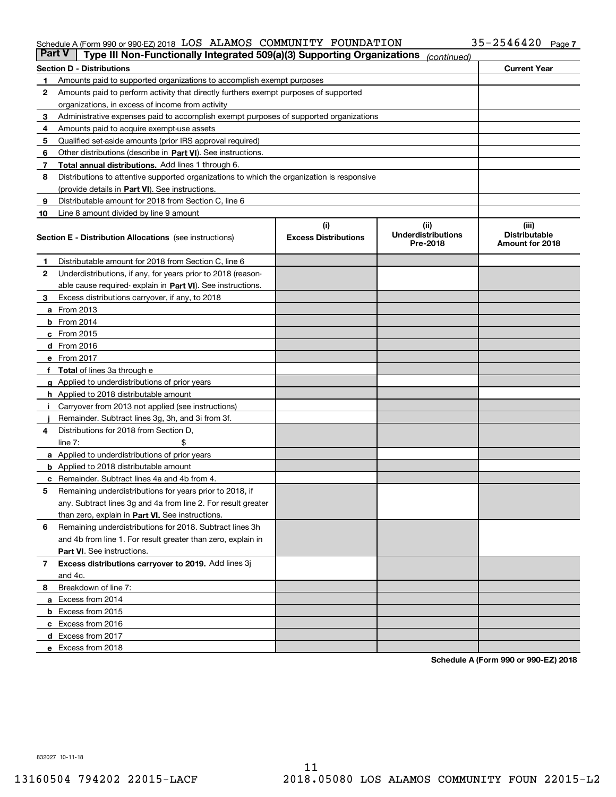#### Schedule A (Form 990 or 990-EZ) 2018 LOS ALLAMOS COMMUN L'I'Y F'OUNDA'I' LON 3 5~Z 5 4 6 4 Z U Page LOS ALAMOS COMMUNITY FOUNDATION 35-2546420

| <b>Part V</b> | Type III Non-Functionally Integrated 509(a)(3) Supporting Organizations                    |                             | (continued)                           |                                         |
|---------------|--------------------------------------------------------------------------------------------|-----------------------------|---------------------------------------|-----------------------------------------|
|               | <b>Section D - Distributions</b>                                                           |                             |                                       | <b>Current Year</b>                     |
| 1             | Amounts paid to supported organizations to accomplish exempt purposes                      |                             |                                       |                                         |
| 2             | Amounts paid to perform activity that directly furthers exempt purposes of supported       |                             |                                       |                                         |
|               | organizations, in excess of income from activity                                           |                             |                                       |                                         |
| 3             | Administrative expenses paid to accomplish exempt purposes of supported organizations      |                             |                                       |                                         |
| 4             | Amounts paid to acquire exempt-use assets                                                  |                             |                                       |                                         |
| 5             | Qualified set-aside amounts (prior IRS approval required)                                  |                             |                                       |                                         |
| 6             | Other distributions (describe in Part VI). See instructions.                               |                             |                                       |                                         |
| 7             | <b>Total annual distributions.</b> Add lines 1 through 6.                                  |                             |                                       |                                         |
| 8             | Distributions to attentive supported organizations to which the organization is responsive |                             |                                       |                                         |
|               | (provide details in Part VI). See instructions.                                            |                             |                                       |                                         |
| 9             | Distributable amount for 2018 from Section C, line 6                                       |                             |                                       |                                         |
| 10            | Line 8 amount divided by line 9 amount                                                     |                             |                                       |                                         |
|               |                                                                                            | (i)                         | (iii)                                 | (iii)                                   |
|               | <b>Section E - Distribution Allocations</b> (see instructions)                             | <b>Excess Distributions</b> | <b>Underdistributions</b><br>Pre-2018 | <b>Distributable</b><br>Amount for 2018 |
| 1             | Distributable amount for 2018 from Section C, line 6                                       |                             |                                       |                                         |
| 2             | Underdistributions, if any, for years prior to 2018 (reason-                               |                             |                                       |                                         |
|               | able cause required- explain in Part VI). See instructions.                                |                             |                                       |                                         |
| З             | Excess distributions carryover, if any, to 2018                                            |                             |                                       |                                         |
|               | <b>a</b> From 2013                                                                         |                             |                                       |                                         |
|               | <b>b</b> From 2014                                                                         |                             |                                       |                                         |
|               | $c$ From 2015                                                                              |                             |                                       |                                         |
|               | d From 2016                                                                                |                             |                                       |                                         |
|               | e From 2017                                                                                |                             |                                       |                                         |
|               | Total of lines 3a through e                                                                |                             |                                       |                                         |
| g             | Applied to underdistributions of prior years                                               |                             |                                       |                                         |
|               | <b>h</b> Applied to 2018 distributable amount                                              |                             |                                       |                                         |
|               | Carryover from 2013 not applied (see instructions)                                         |                             |                                       |                                         |
|               | Remainder. Subtract lines 3g, 3h, and 3i from 3f.                                          |                             |                                       |                                         |
| 4             | Distributions for 2018 from Section D,                                                     |                             |                                       |                                         |
|               | line $7:$                                                                                  |                             |                                       |                                         |
|               | <b>a</b> Applied to underdistributions of prior years                                      |                             |                                       |                                         |
|               | <b>b</b> Applied to 2018 distributable amount                                              |                             |                                       |                                         |
|               | c Remainder. Subtract lines 4a and 4b from 4.                                              |                             |                                       |                                         |
| 5             | Remaining underdistributions for years prior to 2018, if                                   |                             |                                       |                                         |
|               | any. Subtract lines 3g and 4a from line 2. For result greater                              |                             |                                       |                                         |
|               | than zero, explain in Part VI. See instructions.                                           |                             |                                       |                                         |
| 6             | Remaining underdistributions for 2018. Subtract lines 3h                                   |                             |                                       |                                         |
|               | and 4b from line 1. For result greater than zero, explain in                               |                             |                                       |                                         |
|               | Part VI. See instructions.                                                                 |                             |                                       |                                         |
| 7             | Excess distributions carryover to 2019. Add lines 3j                                       |                             |                                       |                                         |
|               | and 4c.                                                                                    |                             |                                       |                                         |
| 8             | Breakdown of line 7:                                                                       |                             |                                       |                                         |
|               | a Excess from 2014                                                                         |                             |                                       |                                         |
|               | <b>b</b> Excess from 2015                                                                  |                             |                                       |                                         |
|               | c Excess from 2016                                                                         |                             |                                       |                                         |
|               | d Excess from 2017                                                                         |                             |                                       |                                         |
|               | e Excess from 2018                                                                         |                             |                                       |                                         |

**Schedule A (Form 990 or 990-EZ) 2018**

832027 10-11-18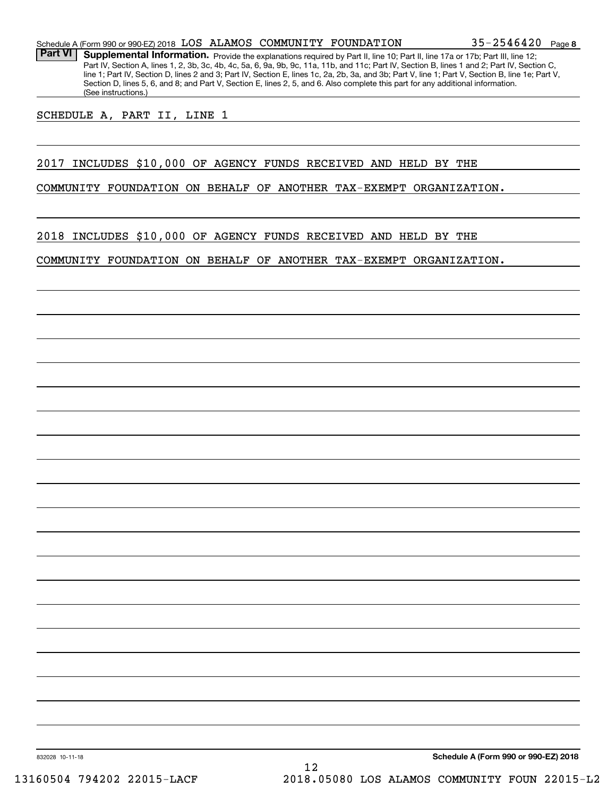Part VI | Supplemental Information. Provide the explanations required by Part II, line 10; Part II, line 17a or 17b; Part III, line 12; Part IV, Section A, lines 1, 2, 3b, 3c, 4b, 4c, 5a, 6, 9a, 9b, 9c, 11a, 11b, and 11c; Part IV, Section B, lines 1 and 2; Part IV, Section C, line 1; Part IV, Section D, lines 2 and 3; Part IV, Section E, lines 1c, 2a, 2b, 3a, and 3b; Part V, line 1; Part V, Section B, line 1e; Part V, Section D, lines 5, 6, and 8; and Part V, Section E, lines 2, 5, and 6. Also complete this part for any additional information. (See instructions.)

SCHEDULE A, PART II, LINE 1

#### 2017 INCLUDES \$10,000 OF AGENCY FUNDS RECEIVED AND HELD BY THE

COMMUNITY FOUNDATION ON BEHALF OF ANOTHER TAX-EXEMPT ORGANIZATION.

2018 INCLUDES \$10,000 OF AGENCY FUNDS RECEIVED AND HELD BY THE

COMMUNITY FOUNDATION ON BEHALF OF ANOTHER TAX-EXEMPT ORGANIZATION.

832028 10-11-18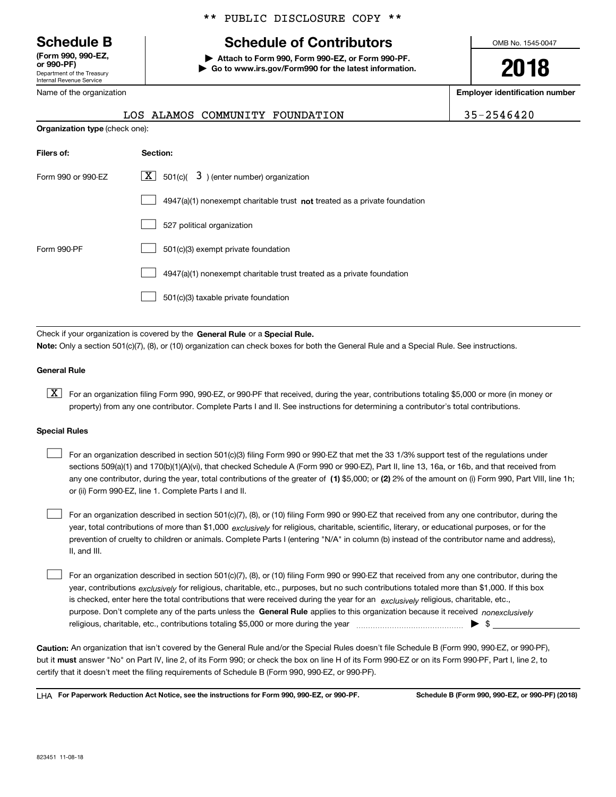Department of the Treasury Internal Revenue Service **(Form 990, 990-EZ, or 990-PF)**

Name of the organization

#### \*\* PUBLIC DISCLOSURE COPY \*\*

# **Schedule B Schedule of Contributors**

**| Attach to Form 990, Form 990-EZ, or Form 990-PF. | Go to www.irs.gov/Form990 for the latest information.** OMB No. 1545-0047

**2018**

**Employer identification number**

|--|

|                                       | LOS ALAMOS COMMUNITY FOUNDATION                                                    | 35-2546420 |
|---------------------------------------|------------------------------------------------------------------------------------|------------|
| <b>Organization type (check one):</b> |                                                                                    |            |
| Filers of:                            | Section:                                                                           |            |
| Form 990 or 990-EZ                    | $\lfloor x \rfloor$ 501(c)( 3) (enter number) organization                         |            |
|                                       | $4947(a)(1)$ nonexempt charitable trust <b>not</b> treated as a private foundation |            |
|                                       | 527 political organization                                                         |            |
| Form 990-PF                           | 501(c)(3) exempt private foundation                                                |            |
|                                       |                                                                                    |            |

 $\Box$  4947(a)(1) nonexempt charitable trust treated as a private foundation

501(c)(3) taxable private foundation  $\mathcal{L}^{\text{max}}$ 

Check if your organization is covered by the **General Rule** or a **Special Rule. Note:**  Only a section 501(c)(7), (8), or (10) organization can check boxes for both the General Rule and a Special Rule. See instructions.

#### **General Rule**

 $\boxed{\textbf{X}}$  For an organization filing Form 990, 990-EZ, or 990-PF that received, during the year, contributions totaling \$5,000 or more (in money or property) from any one contributor. Complete Parts I and II. See instructions for determining a contributor's total contributions.

#### **Special Rules**

any one contributor, during the year, total contributions of the greater of  $\,$  (1) \$5,000; or **(2)** 2% of the amount on (i) Form 990, Part VIII, line 1h; For an organization described in section 501(c)(3) filing Form 990 or 990-EZ that met the 33 1/3% support test of the regulations under sections 509(a)(1) and 170(b)(1)(A)(vi), that checked Schedule A (Form 990 or 990-EZ), Part II, line 13, 16a, or 16b, and that received from or (ii) Form 990-EZ, line 1. Complete Parts I and II.  $\mathcal{L}^{\text{max}}$ 

year, total contributions of more than \$1,000 *exclusively* for religious, charitable, scientific, literary, or educational purposes, or for the For an organization described in section 501(c)(7), (8), or (10) filing Form 990 or 990-EZ that received from any one contributor, during the prevention of cruelty to children or animals. Complete Parts I (entering "N/A" in column (b) instead of the contributor name and address), II, and III.  $\mathcal{L}^{\text{max}}$ 

purpose. Don't complete any of the parts unless the **General Rule** applies to this organization because it received *nonexclusively* year, contributions <sub>exclusively</sub> for religious, charitable, etc., purposes, but no such contributions totaled more than \$1,000. If this box is checked, enter here the total contributions that were received during the year for an  $\;$ exclusively religious, charitable, etc., For an organization described in section 501(c)(7), (8), or (10) filing Form 990 or 990-EZ that received from any one contributor, during the religious, charitable, etc., contributions totaling \$5,000 or more during the year  $\Box$ — $\Box$   $\Box$  $\mathcal{L}^{\text{max}}$ 

**Caution:**  An organization that isn't covered by the General Rule and/or the Special Rules doesn't file Schedule B (Form 990, 990-EZ, or 990-PF),  **must** but it answer "No" on Part IV, line 2, of its Form 990; or check the box on line H of its Form 990-EZ or on its Form 990-PF, Part I, line 2, to certify that it doesn't meet the filing requirements of Schedule B (Form 990, 990-EZ, or 990-PF).

**For Paperwork Reduction Act Notice, see the instructions for Form 990, 990-EZ, or 990-PF. Schedule B (Form 990, 990-EZ, or 990-PF) (2018)** LHA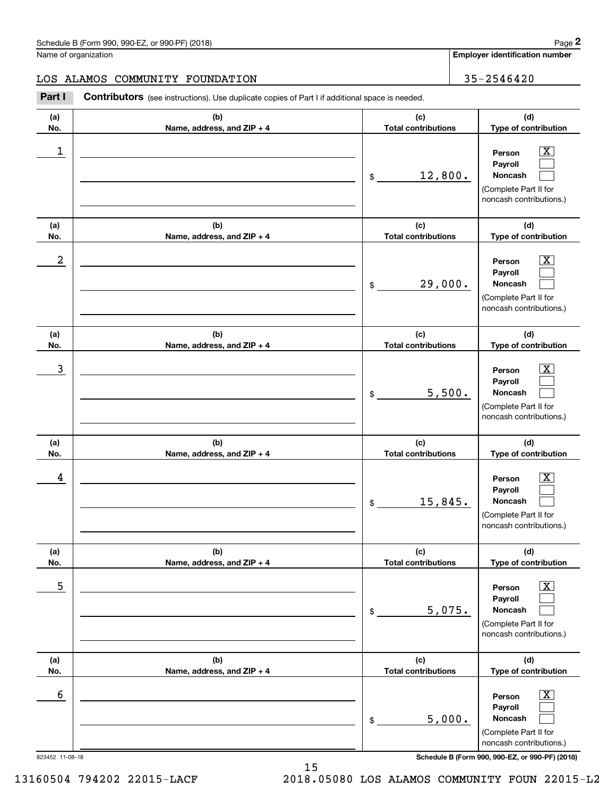**Employer identification number**

### LOS ALAMOS COMMUNITY FOUNDATION | 35-2546420

Chedule B (Form 990, 990-EZ, or 990-PF) (2018)<br>
lame of organization<br> **2Part I Contributors** (see instructions). Use duplicate copies of Part I if additional space is needed.<br> **2Part I Contributors** (see instructions).

| (a)        | (b)                          | (c)                                         | (d)                                                                                                      |
|------------|------------------------------|---------------------------------------------|----------------------------------------------------------------------------------------------------------|
| No.        | Name, address, and ZIP + 4   | <b>Total contributions</b>                  | Type of contribution                                                                                     |
| 1          |                              | 12,800.<br>\$                               | Person<br>Payroll<br>Noncash<br>(Complete Part II for<br>noncash contributions.)                         |
| (a)<br>No. | (b)                          | (c)<br><b>Total contributions</b>           | (d)<br>Type of contribution                                                                              |
| 2          | Name, address, and ZIP + 4   | 29,000.<br>\$                               | Person<br>Payroll<br>Noncash<br>(Complete Part II for<br>noncash contributions.)                         |
| (a)        | (b)                          | (c)                                         | (d)                                                                                                      |
| No.<br>3   | Name, address, and ZIP + 4   | <b>Total contributions</b><br>5,500.<br>\$  | Type of contribution<br>Person<br>Payroll<br>Noncash<br>(Complete Part II for<br>noncash contributions.) |
|            |                              |                                             |                                                                                                          |
| (a)        | (b)                          | (c)                                         | (d)                                                                                                      |
| No.<br>4   | Name, address, and ZIP + 4   | <b>Total contributions</b><br>15,845.<br>\$ | Type of contribution<br>Person<br>Payroll<br>Noncash<br>(Complete Part II for<br>noncash contributions.) |
| (a)        | (b)                          | (c)                                         | (d)                                                                                                      |
| No.        | Name, address, and $ZIP + 4$ | <b>Total contributions</b>                  | <b>Type of contribution</b>                                                                              |
| 5          |                              | 5,075.<br>\$                                | х<br>Person<br>Payroll<br>Noncash<br>(Complete Part II for<br>noncash contributions.)                    |
| (a)        | (b)                          | (c)                                         | (d)                                                                                                      |
| No.        | Name, address, and ZIP + 4   | <b>Total contributions</b>                  | Type of contribution                                                                                     |
| 6          |                              | 5,000.<br>\$                                | х<br>Person<br>Payroll<br>Noncash<br>(Complete Part II for<br>noncash contributions.)                    |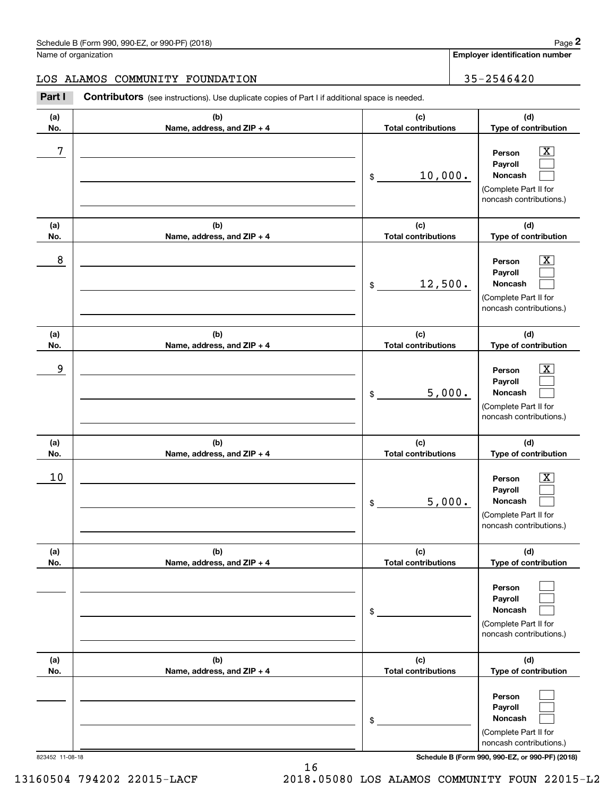**Employer identification number**

#### LOS ALAMOS COMMUNITY FOUNDATION | 35-2546420

Contributors (see instructions). Use duplicate copies of Part I if additional space is needed. Chedule B (Form 990, 990-EZ, or 990-PF) (2018)<br>Iame of organization<br>**2Part I 2Part I Contributors** (see instructions). Use duplicate copies of Part I if additional space is needed.

| (a)             | (b)                        | (c)                        | (d)                                                                                                                                 |
|-----------------|----------------------------|----------------------------|-------------------------------------------------------------------------------------------------------------------------------------|
| No.             | Name, address, and ZIP + 4 | <b>Total contributions</b> | Type of contribution                                                                                                                |
| 7               |                            | 10,000.<br>\$              | $\boxed{\text{X}}$<br>Person<br>Payroll<br>Noncash<br>(Complete Part II for<br>noncash contributions.)                              |
| (a)             | (b)                        | (c)                        | (d)                                                                                                                                 |
| No.             | Name, address, and ZIP + 4 | <b>Total contributions</b> | Type of contribution                                                                                                                |
| 8               |                            | 12,500.<br>\$              | x<br>Person<br>Payroll<br>Noncash<br>(Complete Part II for<br>noncash contributions.)                                               |
| (a)             | (b)                        | (c)                        | (d)                                                                                                                                 |
| No.             | Name, address, and ZIP + 4 | <b>Total contributions</b> | Type of contribution                                                                                                                |
| 9               |                            | 5,000.<br>\$               | x<br>Person<br>Payroll<br>Noncash<br>(Complete Part II for<br>noncash contributions.)                                               |
| (a)             | (b)                        | (c)                        | (d)                                                                                                                                 |
| No.             | Name, address, and ZIP + 4 | <b>Total contributions</b> | Type of contribution                                                                                                                |
| 10              |                            | 5,000.<br>\$               | x<br>Person<br>Payroll<br>Noncash<br>(Complete Part II for<br>noncash contributions.)                                               |
| (a)             | (b)                        | (c)                        | (d)                                                                                                                                 |
| NO.             | Name, address, and ZIP + 4 | Total contributions        | Type of contribution                                                                                                                |
|                 |                            | \$                         | Person<br>Payroll<br>Noncash<br>(Complete Part II for<br>noncash contributions.)                                                    |
| (a)             | (b)                        | (c)                        | (d)                                                                                                                                 |
| No.             | Name, address, and ZIP + 4 | <b>Total contributions</b> | Type of contribution                                                                                                                |
| 823452 11-08-18 |                            | \$                         | Person<br>Payroll<br>Noncash<br>(Complete Part II for<br>noncash contributions.)<br>Schedule B (Form 990, 990-EZ, or 990-PF) (2018) |

13160504 794202 22015-LACF 2018.05080 LOS ALAMOS COMMUNITY FOUN 22015-L2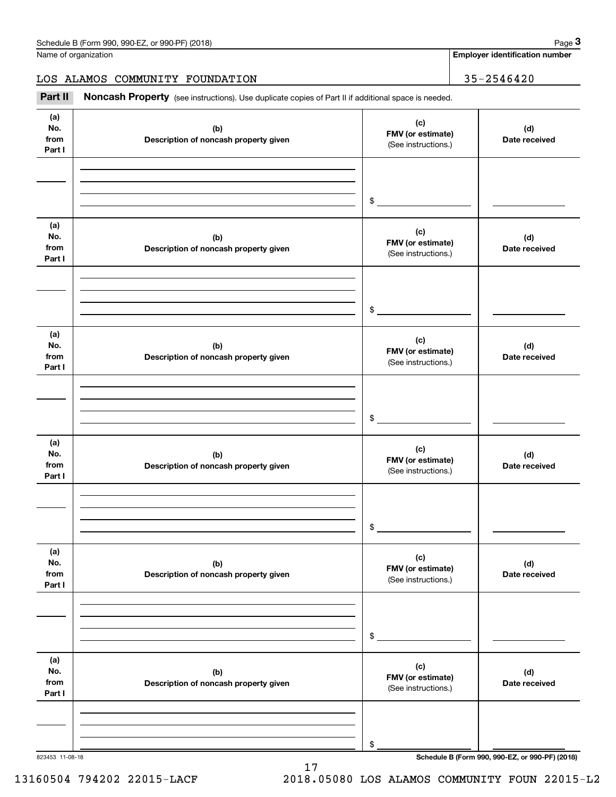**Employer identification number**

LOS ALAMOS COMMUNITY FOUNDATION | 35-2546420

Chedule B (Form 990, 990-EZ, or 990-PF) (2018)<br>
Iame of organization<br> **3Part II is ALAMOS COMMUNITY FOUNDATION**<br> **Part II Noncash Property** (see instructions). Use duplicate copies of Part II if additional space is needed.

| (a)<br>No.<br>from<br>Part I | (b)<br>Description of noncash property given | (c)<br>FMV (or estimate)<br>(See instructions.) | (d)<br>Date received                            |
|------------------------------|----------------------------------------------|-------------------------------------------------|-------------------------------------------------|
|                              |                                              | $\frac{1}{2}$                                   |                                                 |
|                              |                                              |                                                 |                                                 |
| (a)<br>No.<br>from<br>Part I | (b)<br>Description of noncash property given | (c)<br>FMV (or estimate)<br>(See instructions.) | (d)<br>Date received                            |
|                              |                                              | $\frac{1}{2}$                                   |                                                 |
| (a)<br>No.<br>from<br>Part I | (b)<br>Description of noncash property given | (c)<br>FMV (or estimate)<br>(See instructions.) | (d)<br>Date received                            |
|                              |                                              | $\frac{1}{2}$                                   |                                                 |
|                              |                                              |                                                 |                                                 |
| (a)<br>No.<br>from<br>Part I | (b)<br>Description of noncash property given | (c)<br>FMV (or estimate)<br>(See instructions.) | (d)<br>Date received                            |
|                              |                                              |                                                 |                                                 |
|                              |                                              |                                                 |                                                 |
|                              |                                              | $\mathsf{\$}$                                   |                                                 |
| (a)<br>No.<br>from<br>Part I | (b)<br>Description of noncash property given | (c)<br>FMV (or estimate)<br>(See instructions.) | (d)<br>Date received                            |
|                              |                                              |                                                 |                                                 |
|                              |                                              |                                                 |                                                 |
|                              |                                              |                                                 |                                                 |
|                              |                                              | $\,$                                            |                                                 |
| (a)                          |                                              |                                                 |                                                 |
| No.                          | (b)                                          | (c)<br>FMV (or estimate)                        | (d)                                             |
| from                         | Description of noncash property given        | (See instructions.)                             | Date received                                   |
| Part I                       |                                              |                                                 |                                                 |
|                              |                                              |                                                 |                                                 |
|                              |                                              |                                                 |                                                 |
|                              |                                              | \$                                              |                                                 |
| 823453 11-08-18              |                                              |                                                 | Schedule B (Form 990, 990-EZ, or 990-PF) (2018) |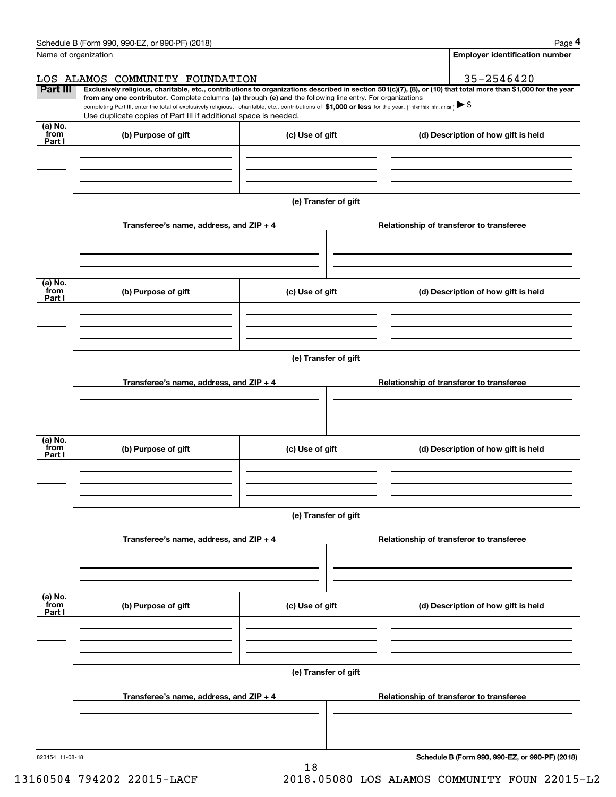|                           | Schedule B (Form 990, 990-EZ, or 990-PF) (2018)                                                                                                                                   |                      | Page 4                                                                                                                                                         |
|---------------------------|-----------------------------------------------------------------------------------------------------------------------------------------------------------------------------------|----------------------|----------------------------------------------------------------------------------------------------------------------------------------------------------------|
|                           | Name of organization                                                                                                                                                              |                      | <b>Employer identification number</b>                                                                                                                          |
|                           | LOS ALAMOS COMMUNITY FOUNDATION                                                                                                                                                   |                      | 35-2546420                                                                                                                                                     |
| <b>Part III</b>           | from any one contributor. Complete columns (a) through (e) and the following line entry. For organizations                                                                        |                      | Exclusively religious, charitable, etc., contributions to organizations described in section 501(c)(7), (8), or (10) that total more than \$1,000 for the year |
|                           | completing Part III, enter the total of exclusively religious, charitable, etc., contributions of \$1,000 or less for the year. (Enter this info. once.) $\blacktriangleright$ \$ |                      |                                                                                                                                                                |
|                           | Use duplicate copies of Part III if additional space is needed.                                                                                                                   |                      |                                                                                                                                                                |
| (a) No.<br>from<br>Part I | (b) Purpose of gift                                                                                                                                                               | (c) Use of gift      | (d) Description of how gift is held                                                                                                                            |
|                           |                                                                                                                                                                                   |                      |                                                                                                                                                                |
|                           |                                                                                                                                                                                   |                      |                                                                                                                                                                |
|                           |                                                                                                                                                                                   |                      |                                                                                                                                                                |
|                           |                                                                                                                                                                                   | (e) Transfer of gift |                                                                                                                                                                |
|                           |                                                                                                                                                                                   |                      |                                                                                                                                                                |
|                           | Transferee's name, address, and ZIP + 4                                                                                                                                           |                      | Relationship of transferor to transferee                                                                                                                       |
|                           |                                                                                                                                                                                   |                      |                                                                                                                                                                |
|                           |                                                                                                                                                                                   |                      |                                                                                                                                                                |
| (a) No.                   |                                                                                                                                                                                   |                      |                                                                                                                                                                |
| from<br>Part I            | (b) Purpose of gift                                                                                                                                                               | (c) Use of gift      | (d) Description of how gift is held                                                                                                                            |
|                           |                                                                                                                                                                                   |                      |                                                                                                                                                                |
|                           |                                                                                                                                                                                   |                      |                                                                                                                                                                |
|                           |                                                                                                                                                                                   |                      |                                                                                                                                                                |
|                           |                                                                                                                                                                                   | (e) Transfer of gift |                                                                                                                                                                |
|                           |                                                                                                                                                                                   |                      |                                                                                                                                                                |
|                           | Transferee's name, address, and ZIP + 4                                                                                                                                           |                      | Relationship of transferor to transferee                                                                                                                       |
|                           |                                                                                                                                                                                   |                      |                                                                                                                                                                |
|                           |                                                                                                                                                                                   |                      |                                                                                                                                                                |
|                           |                                                                                                                                                                                   |                      |                                                                                                                                                                |
| (a) No.<br>from           | (b) Purpose of gift                                                                                                                                                               | (c) Use of gift      | (d) Description of how gift is held                                                                                                                            |
| Part I                    |                                                                                                                                                                                   |                      |                                                                                                                                                                |
|                           |                                                                                                                                                                                   |                      |                                                                                                                                                                |
|                           |                                                                                                                                                                                   |                      |                                                                                                                                                                |
|                           |                                                                                                                                                                                   |                      |                                                                                                                                                                |
|                           |                                                                                                                                                                                   | (e) Transfer of gift |                                                                                                                                                                |
|                           | Transferee's name, address, and $ZIP + 4$                                                                                                                                         |                      | Relationship of transferor to transferee                                                                                                                       |
|                           |                                                                                                                                                                                   |                      |                                                                                                                                                                |
|                           |                                                                                                                                                                                   |                      |                                                                                                                                                                |
|                           |                                                                                                                                                                                   |                      |                                                                                                                                                                |
| (a) No.<br>from           | (b) Purpose of gift                                                                                                                                                               | (c) Use of gift      | (d) Description of how gift is held                                                                                                                            |
| Part I                    |                                                                                                                                                                                   |                      |                                                                                                                                                                |
|                           |                                                                                                                                                                                   |                      |                                                                                                                                                                |
|                           |                                                                                                                                                                                   |                      |                                                                                                                                                                |
|                           |                                                                                                                                                                                   |                      |                                                                                                                                                                |
|                           |                                                                                                                                                                                   | (e) Transfer of gift |                                                                                                                                                                |
|                           |                                                                                                                                                                                   |                      |                                                                                                                                                                |
|                           | Transferee's name, address, and $ZIP + 4$                                                                                                                                         |                      | Relationship of transferor to transferee                                                                                                                       |
|                           |                                                                                                                                                                                   |                      |                                                                                                                                                                |
|                           |                                                                                                                                                                                   |                      |                                                                                                                                                                |
|                           |                                                                                                                                                                                   |                      |                                                                                                                                                                |

18

**Schedule B (Form 990, 990-EZ, or 990-PF) (2018)**

13160504 794202 22015-LACF 2018.05080 LOS ALAMOS COMMUNITY FOUN 22015-L2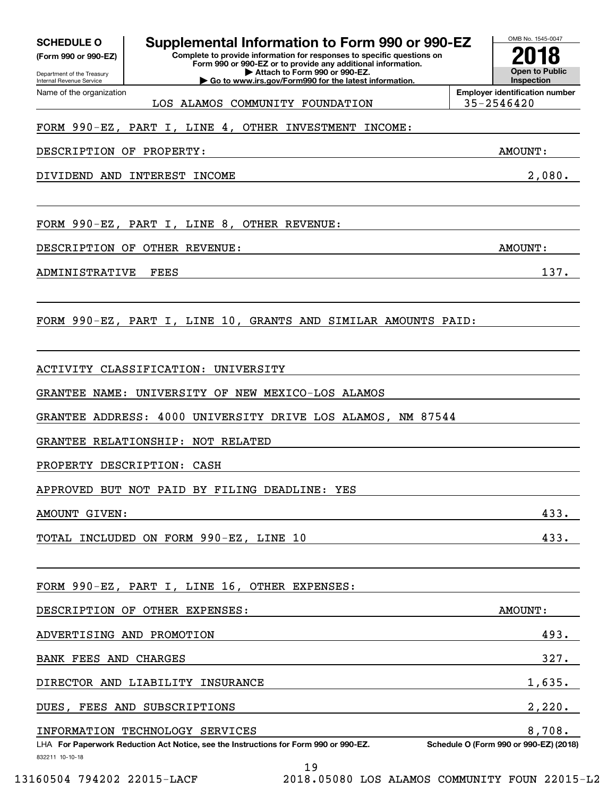Department of the Treasury **(Form 990 or 990-EZ)**

Name of the organization

Internal Revenue Service

**Complete to provide information for responses to specific questions on SCHEDULE O Supplemental Information to Form 990 or 990-EZ**

**Form 990 or 990-EZ or to provide any additional information. | Attach to Form 990 or 990-EZ. | Go to www.irs.gov/Form990 for the latest information.**

**Open to Public InspectionEmployer identification number 2018**

OMB No. 1545-0047

LOS ALAMOS COMMUNITY FOUNDATION 35-2546420

### FORM 990-EZ, PART I, LINE 4, OTHER INVESTMENT INCOME:

DESCRIPTION OF PROPERTY: AMOUNT:

DIVIDEND AND INTEREST INCOME 2,080.

FORM 990-EZ, PART I, LINE 8, OTHER REVENUE:

DESCRIPTION OF OTHER REVENUE: AMOUNT:

ADMINISTRATIVE FEES 2002 137.

FORM 990-EZ, PART I, LINE 10, GRANTS AND SIMILAR AMOUNTS PAID:

ACTIVITY CLASSIFICATION: UNIVERSITY

GRANTEE NAME: UNIVERSITY OF NEW MEXICO-LOS ALAMOS

GRANTEE ADDRESS: 4000 UNIVERSITY DRIVE LOS ALAMOS, NM 87544

GRANTEE RELATIONSHIP: NOT RELATED

PROPERTY DESCRIPTION: CASH

APPROVED BUT NOT PAID BY FILING DEADLINE: YES

AMOUNT GIVEN: 433.

TOTAL INCLUDED ON FORM 990-EZ, LINE 10 433.

FORM 990-EZ, PART I, LINE 16, OTHER EXPENSES:

| DESCRIPTION OF OTHER EXPENSES:                                                       | AMOUNT:                                |
|--------------------------------------------------------------------------------------|----------------------------------------|
| ADVERTISING AND PROMOTION                                                            | 493.                                   |
| FEES AND<br><b>CHARGES</b><br>BANK                                                   | 327.                                   |
| DIRECTOR AND LIABILITY INSURANCE                                                     | 1,635.                                 |
| FEES AND SUBSCRIPTIONS<br>DUES,                                                      | 2,220.                                 |
| TECHNOLOGY SERVICES<br>INFORMATION                                                   | 8,708.                                 |
| LHA For Paperwork Reduction Act Notice, see the Instructions for Form 990 or 990-EZ. | Schedule O (Form 990 or 990-EZ) (2018) |
| 832211 10-10-18<br>19                                                                |                                        |
|                                                                                      |                                        |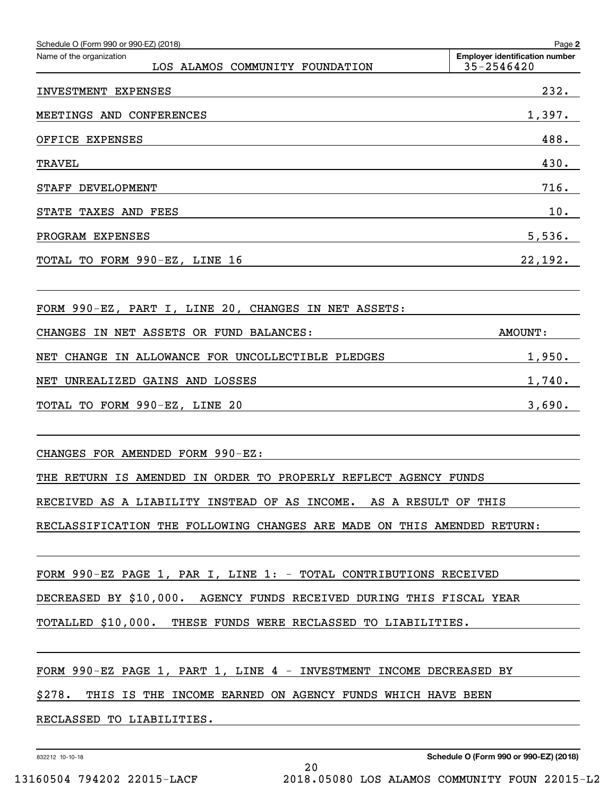| Schedule O (Form 990 or 990-EZ) (2018)                                  | Page 2                                              |
|-------------------------------------------------------------------------|-----------------------------------------------------|
| Name of the organization<br>LOS ALAMOS COMMUNITY FOUNDATION             | <b>Employer identification number</b><br>35-2546420 |
| INVESTMENT EXPENSES                                                     | 232.                                                |
| MEETINGS AND CONFERENCES                                                | 1,397.                                              |
| OFFICE EXPENSES                                                         | 488.                                                |
| <b>TRAVEL</b>                                                           | 430.                                                |
| DEVELOPMENT<br><b>STAFF</b>                                             | 716.                                                |
| STATE<br>TAXES AND FEES                                                 | 10.                                                 |
| PROGRAM EXPENSES                                                        | 5,536.                                              |
| TOTAL TO FORM 990-EZ, LINE 16                                           | 22,192.                                             |
|                                                                         |                                                     |
| FORM 990-EZ, PART I, LINE 20, CHANGES IN NET ASSETS:                    |                                                     |
| ASSETS OR FUND BALANCES:<br>CHANGES<br>IN NET                           | <b>AMOUNT:</b>                                      |
| IN ALLOWANCE FOR UNCOLLECTIBLE PLEDGES<br>NET<br><b>CHANGE</b>          | 1,950.                                              |
| UNREALIZED GAINS AND LOSSES<br>NET                                      | 1,740.                                              |
| TOTAL TO FORM 990-EZ, LINE 20                                           | 3,690.                                              |
|                                                                         |                                                     |
| CHANGES FOR AMENDED FORM 990-EZ:                                        |                                                     |
| THE RETURN IS AMENDED IN ORDER TO PROPERLY REFLECT AGENCY FUNDS         |                                                     |
| RECEIVED AS A LIABILITY INSTEAD OF AS INCOME. AS A RESULT OF THIS       |                                                     |
| RECLASSIFICATION THE FOLLOWING CHANGES ARE MADE ON THIS AMENDED RETURN: |                                                     |
|                                                                         |                                                     |
| FORM 990-EZ PAGE 1, PAR I, LINE 1: - TOTAL CONTRIBUTIONS RECEIVED       |                                                     |
| DECREASED BY \$10,000. AGENCY FUNDS RECEIVED DURING THIS FISCAL YEAR    |                                                     |
| TOTALLED \$10,000. THESE FUNDS WERE RECLASSED TO LIABILITIES.           |                                                     |
|                                                                         |                                                     |
| FORM 990-EZ PAGE 1, PART 1, LINE 4 - INVESTMENT INCOME DECREASED BY     |                                                     |
| \$278. THIS IS THE INCOME EARNED ON AGENCY FUNDS WHICH HAVE BEEN        |                                                     |
| RECLASSED TO LIABILITIES.                                               |                                                     |

20

832212 10-10-18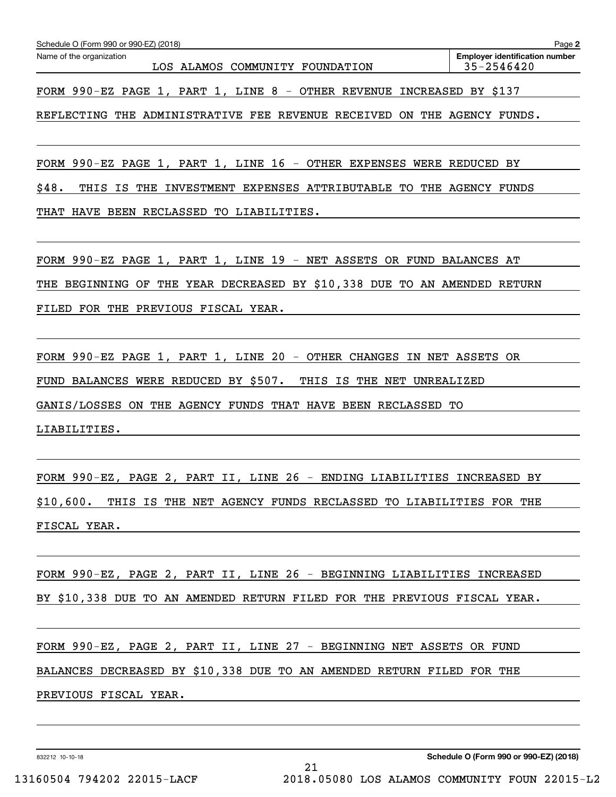| Name of the organization | Schedule O (Form 990 or 990-EZ) (2018) |  |                                 | <b>Employer identification number</b> |
|--------------------------|----------------------------------------|--|---------------------------------|---------------------------------------|
|                          |                                        |  | LOS ALAMOS COMMUNITY FOUNDATION | $35 - 2546420$                        |

FORM 990-EZ PAGE 1, PART 1, LINE 8 - OTHER REVENUE INCREASED BY \$137

REFLECTING THE ADMINISTRATIVE FEE REVENUE RECEIVED ON THE AGENCY FUNDS.

FORM 990-EZ PAGE 1, PART 1, LINE 16 - OTHER EXPENSES WERE REDUCED BY

\$48. THIS IS THE INVESTMENT EXPENSES ATTRIBUTABLE TO THE AGENCY FUNDS THAT HAVE BEEN RECLASSED TO LIABILITIES.

FORM 990-EZ PAGE 1, PART 1, LINE 19 - NET ASSETS OR FUND BALANCES AT THE BEGINNING OF THE YEAR DECREASED BY \$10,338 DUE TO AN AMENDED RETURN FILED FOR THE PREVIOUS FISCAL YEAR.

FORM 990-EZ PAGE 1, PART 1, LINE 20 - OTHER CHANGES IN NET ASSETS OR FUND BALANCES WERE REDUCED BY \$507. THIS IS THE NET UNREALIZED GANIS/LOSSES ON THE AGENCY FUNDS THAT HAVE BEEN RECLASSED TO LIABILITIES.

FORM 990-EZ, PAGE 2, PART II, LINE 26 - ENDING LIABILITIES INCREASED BY \$10,600. THIS IS THE NET AGENCY FUNDS RECLASSED TO LIABILITIES FOR THE FISCAL YEAR.

FORM 990-EZ, PAGE 2, PART II, LINE 26 - BEGINNING LIABILITIES INCREASED BY \$10,338 DUE TO AN AMENDED RETURN FILED FOR THE PREVIOUS FISCAL YEAR.

FORM 990-EZ, PAGE 2, PART II, LINE 27 - BEGINNING NET ASSETS OR FUND BALANCES DECREASED BY \$10,338 DUE TO AN AMENDED RETURN FILED FOR THE PREVIOUS FISCAL YEAR.

21

832212 10-10-18

13160504 794202 22015-LACF 2018.05080 LOS ALAMOS COMMUNITY FOUN 22015-L2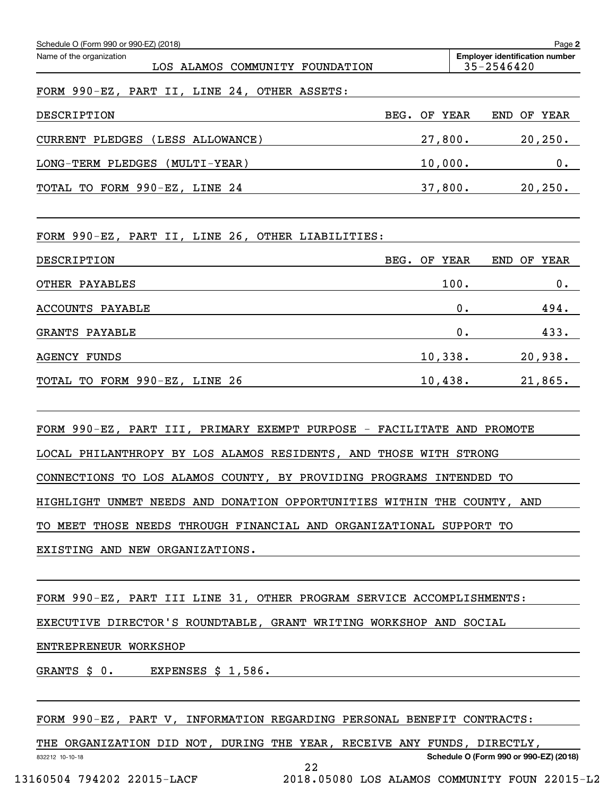| Schedule O (Form 990 or 990-EZ) (2018)                         |                 | Page 2                                              |
|----------------------------------------------------------------|-----------------|-----------------------------------------------------|
| Name of the organization<br>LOS ALAMOS COMMUNITY<br>FOUNDATION |                 | <b>Employer identification number</b><br>35-2546420 |
| FORM 990-EZ, PART II, LINE 24, OTHER ASSETS:                   |                 |                                                     |
| DESCRIPTION                                                    | OF YEAR<br>BEG. | YEAR<br>OF<br><b>END</b>                            |
| (LESS ALLOWANCE)<br><b>CURRENT PLEDGES</b>                     | 27,800.         | 20, 250.                                            |
| $(MULTI-YEAR)$<br>LONG-TERM PLEDGES                            | 10,000.         | 0.                                                  |
| TOTAL TO FORM 990-EZ, LINE 24                                  | 37,800.         | 20, 250.                                            |
|                                                                |                 |                                                     |

FORM 990-EZ, PART II, LINE 26, OTHER LIABILITIES:

| DESCRIPTION                   | BEG.<br>OF YEAR | END<br><b>YEAR</b><br>OF |
|-------------------------------|-----------------|--------------------------|
| OTHER PAYABLES                | 100.            | $0$ .                    |
| ACCOUNTS PAYABLE              | 0.              | 494.                     |
| GRANTS PAYABLE                | 0.              | 433.                     |
| <b>AGENCY FUNDS</b>           | 10,338.         | 20,938.                  |
| TOTAL TO FORM 990-EZ, LINE 26 | 10,438.         | 21,865.                  |

FORM 990-EZ, PART III, PRIMARY EXEMPT PURPOSE - FACILITATE AND PROMOTE LOCAL PHILANTHROPY BY LOS ALAMOS RESIDENTS, AND THOSE WITH STRONG CONNECTIONS TO LOS ALAMOS COUNTY, BY PROVIDING PROGRAMS INTENDED TO HIGHLIGHT UNMET NEEDS AND DONATION OPPORTUNITIES WITHIN THE COUNTY, AND TO MEET THOSE NEEDS THROUGH FINANCIAL AND ORGANIZATIONAL SUPPORT TO EXISTING AND NEW ORGANIZATIONS.

FORM 990-EZ, PART III LINE 31, OTHER PROGRAM SERVICE ACCOMPLISHMENTS:

EXECUTIVE DIRECTOR'S ROUNDTABLE, GRANT WRITING WORKSHOP AND SOCIAL

ENTREPRENEUR WORKSHOP

GRANTS \$ 0. EXPENSES \$ 1,586.

FORM 990-EZ, PART V, INFORMATION REGARDING PERSONAL BENEFIT CONTRACTS:

832212 10-10-18 **Schedule O (Form 990 or 990-EZ) (2018)** THE ORGANIZATION DID NOT, DURING THE YEAR, RECEIVE ANY FUNDS, DIRECTLY, 22